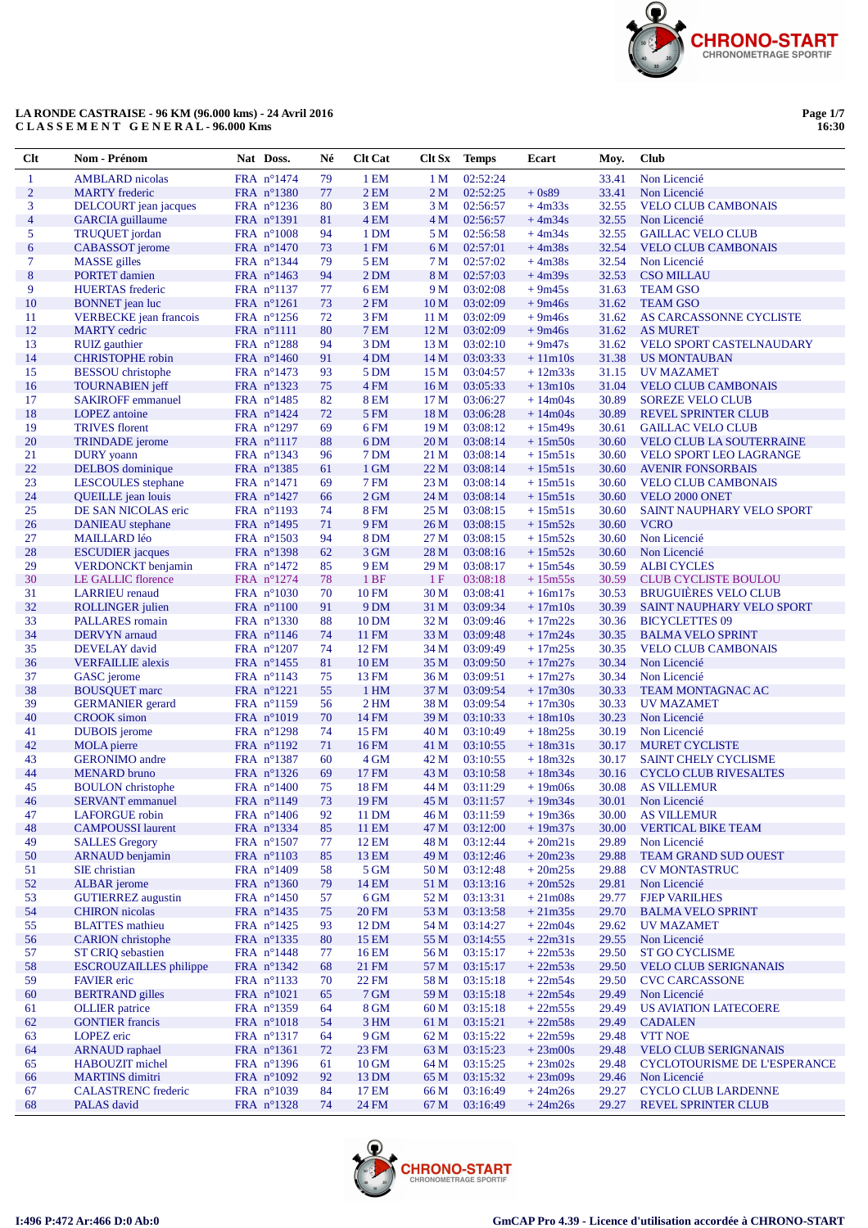

Page 1/7<br>16:30

| $Cl$ t         | Nom - Prénom                                         | Nat Doss.                         | Né       | <b>Clt Cat</b>        | Clt Sx                  | <b>Temps</b>         | Ecart                  | Moy.           | <b>Club</b>                                        |
|----------------|------------------------------------------------------|-----------------------------------|----------|-----------------------|-------------------------|----------------------|------------------------|----------------|----------------------------------------------------|
| 1              | <b>AMBLARD</b> nicolas                               | FRA n°1474                        | 79       | 1 EM                  | 1 <sub>M</sub>          | 02:52:24             |                        | 33.41          | Non Licencié                                       |
| $\overline{2}$ | <b>MARTY</b> frederic                                | FRA n°1380                        | 77       | 2EM                   | 2 <sub>M</sub>          | 02:52:25             | $+0s89$                | 33.41          | Non Licencié                                       |
| 3              | DELCOURT jean jacques                                | FRA $n^{\circ}1236$               | 80       | 3 EM                  | 3 M                     | 02:56:57             | $+4m33s$               | 32.55          | <b>VELO CLUB CAMBONAIS</b>                         |
| 4              | <b>GARCIA</b> guillaume                              | FRA n°1391                        | 81       | 4 EM                  | 4 <sub>M</sub>          | 02:56:57             | $+4m34s$               | 32.55          | Non Licencié                                       |
| 5              | TRUQUET jordan                                       | FRA n°1008                        | 94       | 1 DM                  | 5 M                     | 02:56:58             | $+4m34s$               | 32.55          | <b>GAILLAC VELO CLUB</b>                           |
| 6              | <b>CABASSOT</b> jerome                               | FRA n°1470                        | 73       | 1 FM                  | 6 M                     | 02:57:01             | $+4m38s$               | 32.54          | <b>VELO CLUB CAMBONAIS</b>                         |
| 7              | <b>MASSE</b> gilles                                  | FRA n°1344                        | 79       | 5 EM                  | 7 <sub>M</sub>          | 02:57:02             | $+4m38s$               | 32.54          | Non Licencié                                       |
| 8              | <b>PORTET</b> damien                                 | FRA n°1463                        | 94       | 2 DM                  | 8 M                     | 02:57:03             | $+4m39s$               | 32.53          | <b>CSO MILLAU</b>                                  |
| 9              | <b>HUERTAS</b> frederic                              | FRA $n^{\circ}1137$               | 77       | 6 EM                  | 9 M                     | 03:02:08             | $+9m45s$               | 31.63          | <b>TEAM GSO</b>                                    |
| 10             | <b>BONNET</b> jean luc                               | FRA n°1261                        | 73       | 2 FM                  | 10 <sub>M</sub>         | 03:02:09             | $+9m46s$               | 31.62          | <b>TEAM GSO</b>                                    |
| 11<br>12       | <b>VERBECKE</b> jean francois<br><b>MARTY</b> cedric | FRA $n^{\circ}1256$<br>FRA n°1111 | 72<br>80 | 3 FM<br><b>7 EM</b>   | 11 <sub>M</sub><br>12 M | 03:02:09<br>03:02:09 | $+9m46s$               | 31.62<br>31.62 | AS CARCASSONNE CYCLISTE                            |
| 13             | <b>RUIZ</b> gauthier                                 | FRA n°1288                        | 94       | 3 DM                  | 13 <sub>M</sub>         | 03:02:10             | $+9m46s$<br>$+9m47s$   | 31.62          | <b>AS MURET</b><br><b>VELO SPORT CASTELNAUDARY</b> |
| 14             | <b>CHRISTOPHE</b> robin                              | FRA n°1460                        | 91       | 4 DM                  | 14 M                    | 03:03:33             | $+11m10s$              | 31.38          | <b>US MONTAUBAN</b>                                |
| 15             | <b>BESSOU</b> christophe                             | FRA $n^{\circ}1473$               | 93       | 5 DM                  | 15 <sub>M</sub>         | 03:04:57             | $+12m33s$              | 31.15          | UV MAZAMET                                         |
| 16             | <b>TOURNABIEN</b> jeff                               | FRA nº1323                        | 75       | 4 FM                  | 16 <sub>M</sub>         | 03:05:33             | $+13m10s$              | 31.04          | <b>VELO CLUB CAMBONAIS</b>                         |
| 17             | <b>SAKIROFF</b> emmanuel                             | FRA $n^{\circ}1485$               | 82       | <b>8 EM</b>           | 17 <sub>M</sub>         | 03:06:27             | $+14m04s$              | 30.89          | <b>SOREZE VELO CLUB</b>                            |
| 18             | <b>LOPEZ</b> antoine                                 | FRA $n^{\circ}1424$               | 72       | 5 FM                  | 18 M                    | 03:06:28             | $+14m04s$              | 30.89          | <b>REVEL SPRINTER CLUB</b>                         |
| 19             | <b>TRIVES</b> florent                                | FRA $n^{\circ}1297$               | 69       | 6 FM                  | 19 <sub>M</sub>         | 03:08:12             | $+15m49s$              | 30.61          | <b>GAILLAC VELO CLUB</b>                           |
| 20             | <b>TRINDADE</b> jerome                               | FRA n°1117                        | 88       | 6 <sub>DM</sub>       | 20 <sub>M</sub>         | 03:08:14             | $+15m50s$              | 30.60          | <b>VELO CLUB LA SOUTERRAINE</b>                    |
| 21             | <b>DURY</b> yoann                                    | FRA nº1343                        | 96       | 7 DM                  | 21 M                    | 03:08:14             | $+15m51s$              | 30.60          | <b>VELO SPORT LEO LAGRANGE</b>                     |
| 22             | DELBOS dominique                                     | FRA nº1385                        | 61       | 1 GM                  | 22M                     | 03:08:14             | $+15m51s$              | 30.60          | <b>AVENIR FONSORBAIS</b>                           |
| 23             | LESCOULES stephane                                   | FRA n°1471                        | 69       | 7 FM                  | 23 M                    | 03:08:14             | $+15m51s$              | 30.60          | <b>VELO CLUB CAMBONAIS</b>                         |
| 24             | <b>QUEILLE</b> jean louis                            | FRA $n^{\circ}1427$               | 66       | $2$ GM                | 24 M                    | 03:08:14             | $+15m51s$              | 30.60          | VELO 2000 ONET                                     |
| 25             | DE SAN NICOLAS eric                                  | FRA n°1193                        | 74       | <b>8 FM</b>           | 25 M                    | 03:08:15             | $+15m51s$              | 30.60          | <b>SAINT NAUPHARY VELO SPORT</b>                   |
| 26             | <b>DANIEAU</b> stephane                              | FRA n°1495                        | 71       | 9 FM                  | 26 <sub>M</sub>         | 03:08:15             | $+15m52s$              | 30.60          | <b>VCRO</b>                                        |
| 27             | <b>MAILLARD</b> léo                                  | FRA $n^{\circ}1503$               | 94       | <b>8 DM</b>           | 27 <sub>M</sub>         | 03:08:15             | $+15m52s$              | 30.60          | Non Licencié                                       |
| 28<br>29       | <b>ESCUDIER</b> jacques                              | FRA n°1398<br>FRA n°1472          | 62       | 3 GM                  | 28 M<br>29 M            | 03:08:16             | $+15m52s$              | 30.60<br>30.59 | Non Licencié<br><b>ALBI CYCLES</b>                 |
| 30             | VERDONCKT benjamin<br>LE GALLIC florence             | FRA n°1274                        | 85<br>78 | 9 EM<br>1BF           | 1F                      | 03:08:17<br>03:08:18 | $+15m54s$<br>$+15m55s$ | 30.59          | <b>CLUB CYCLISTE BOULOU</b>                        |
| 31             | <b>LARRIEU</b> renaud                                | FRA $n^{\circ}1030$               | 70       | <b>10 FM</b>          | 30 M                    | 03:08:41             | $+16m17s$              | 30.53          | <b>BRUGUIÈRES VELO CLUB</b>                        |
| 32             | <b>ROLLINGER</b> julien                              | FRA n°1100                        | 91       | 9 <sub>DM</sub>       | 31 M                    | 03:09:34             | $+17m10s$              | 30.39          | SAINT NAUPHARY VELO SPORT                          |
| 33             | PALLARES romain                                      | FRA n°1330                        | 88       | 10 DM                 | 32 M                    | 03:09:46             | $+17m22s$              | 30.36          | <b>BICYCLETTES 09</b>                              |
| 34             | <b>DERVYN</b> arnaud                                 | FRA n°1146                        | 74       | 11 FM                 | 33 M                    | 03:09:48             | $+17m24s$              | 30.35          | <b>BALMA VELO SPRINT</b>                           |
| 35             | <b>DEVELAY</b> david                                 | FRA n°1207                        | 74       | 12 FM                 | 34 M                    | 03:09:49             | $+17m25s$              | 30.35          | <b>VELO CLUB CAMBONAIS</b>                         |
| 36             | <b>VERFAILLIE</b> alexis                             | FRA $n^{\circ}$ 1455              | 81       | <b>10 EM</b>          | 35 M                    | 03:09:50             | $+17m27s$              | 30.34          | Non Licencié                                       |
| 37             | GASC jerome                                          | FRA $n^{\circ}1143$               | 75       | 13 FM                 | 36 M                    | 03:09:51             | $+17m27s$              | 30.34          | Non Licencié                                       |
| 38             | <b>BOUSQUET</b> marc                                 | FRA $n^{\circ}1221$               | 55       | 1 H <sub>M</sub>      | 37 M                    | 03:09:54             | $+17m30s$              | 30.33          | <b>TEAM MONTAGNAC AC</b>                           |
| 39             | <b>GERMANIER</b> gerard                              | FRA nº1159                        | 56       | 2 <sub>HM</sub>       | 38 M                    | 03:09:54             | $+17m30s$              | 30.33          | <b>UV MAZAMET</b>                                  |
| 40             | <b>CROOK</b> simon                                   | FRA $n^{\circ}1019$               | 70       | 14 FM                 | 39 <sub>M</sub>         | 03:10:33             | $+18m10s$              | 30.23          | Non Licencié                                       |
| 41             | <b>DUBOIS</b> jerome                                 | FRA n°1298                        | 74       | 15 FM                 | 40 M                    | 03:10:49             | $+18m25s$              | 30.19          | Non Licencié                                       |
| 42             | <b>MOLA</b> pierre                                   | FRA n°1192                        | 71       | 16 FM                 | 41 M                    | 03:10:55             | $+18m31s$              | 30.17          | <b>MURET CYCLISTE</b>                              |
| 43             | <b>GERONIMO</b> andre                                | FRA nº1387                        | 60       | 4 GM                  | 42 M                    | 03:10:55             | $+18m32s$              | 30.17          | <b>SAINT CHELY CYCLISME</b>                        |
| 44             | <b>MENARD</b> bruno                                  | FRA n°1326                        | 69       | 17 FM                 | 43 M                    | 03:10:58             | $+18m34s$              | 30.16          | <b>CYCLO CLUB RIVESALTES</b>                       |
| 45<br>46       | <b>BOULON</b> christophe<br><b>SERVANT</b> emmanuel  | FRA n°1400<br>$FRA$ n°1149        | 75<br>73 | <b>18 FM</b><br>19 FM | 44 M<br>45 M            | 03:11:29<br>03:11:57 | $+19m06s$<br>$+19m34s$ | 30.08<br>30.01 | <b>AS VILLEMUR</b><br>Non Licencié                 |
| 47             | <b>LAFORGUE</b> robin                                | FRA n°1406                        | 92       | 11 DM                 | 46 M                    | 03:11:59             | $+19m36s$              | 30.00          | <b>AS VILLEMUR</b>                                 |
| 48             | <b>CAMPOUSSI</b> laurent                             | FRA n°1334                        | 85       | <b>11 EM</b>          | 47 M                    | 03:12:00             | $+19m37s$              | 30.00          | <b>VERTICAL BIKE TEAM</b>                          |
| 49             | <b>SALLES</b> Gregory                                | FRA n°1507                        | 77       | 12 EM                 | 48 M                    | 03:12:44             | $+20m21s$              | 29.89          | Non Licencié                                       |
| 50             | <b>ARNAUD</b> benjamin                               | FRA n°1103                        | 85       | 13 EM                 | 49 M                    | 03:12:46             | $+20m23s$              | 29.88          | <b>TEAM GRAND SUD OUEST</b>                        |
| 51             | SIE christian                                        | FRA n°1409                        | 58       | 5 GM                  | 50 M                    | 03:12:48             | $+20m25s$              | 29.88          | <b>CV MONTASTRUC</b>                               |
| 52             | <b>ALBAR</b> jerome                                  | FRA n°1360                        | 79       | 14 EM                 | 51 M                    | 03:13:16             | $+20m52s$              | 29.81          | Non Licencié                                       |
| 53             | <b>GUTIERREZ</b> augustin                            | FRA $n^{\circ}1450$               | 57       | 6 GM                  | 52 M                    | 03:13:31             | $+21m08s$              | 29.77          | <b>FJEP VARILHES</b>                               |
| 54             | <b>CHIRON</b> nicolas                                | FRA n°1435                        | 75       | <b>20 FM</b>          | 53 M                    | 03:13:58             | $+21m35s$              | 29.70          | <b>BALMA VELO SPRINT</b>                           |
| 55             | <b>BLATTES</b> mathieu                               | FRA $n^{\circ}1425$               | 93       | 12 DM                 | 54 M                    | 03:14:27             | $+22m04s$              | 29.62          | UV MAZAMET                                         |
| 56             | <b>CARION</b> christophe                             | FRA nº1335                        | 80       | 15 EM                 | 55 M                    | 03:14:55             | $+22m31s$              | 29.55          | Non Licencié                                       |
| 57             | <b>ST CRIQ</b> sebastien                             | FRA n°1448                        | 77       | 16 EM                 | 56 M                    | 03:15:17             | $+22m53s$              | 29.50          | <b>ST GO CYCLISME</b>                              |
| 58             | <b>ESCROUZAILLES</b> philippe                        | FRA $n^{\circ}1342$               | 68       | 21 FM                 | 57 M                    | 03:15:17             | $+22m53s$              | 29.50          | <b>VELO CLUB SERIGNANAIS</b>                       |
| 59             | <b>FAVIER</b> eric                                   | FRA nº1133                        | 70       | 22 FM                 | 58 M                    | 03:15:18             | $+22m54s$              | 29.50          | <b>CVC CARCASSONE</b>                              |
| 60             | <b>BERTRAND</b> gilles                               | FRA $n^{\circ}1021$               | 65       | 7 GM                  | 59 M                    | 03:15:18             | $+22m54s$              | 29.49          | Non Licencié                                       |
| 61             | <b>OLLIER</b> patrice                                | FRA nº1359                        | 64       | 8 GM                  | 60 <sub>M</sub>         | 03:15:18             | $+22m55s$              | 29.49          | <b>US AVIATION LATECOERE</b>                       |
| 62             | <b>GONTIER</b> francis                               | FRA n°1018                        | 54       | 3 HM                  | 61 M                    | 03:15:21             | $+22m58s$              | 29.49          | <b>CADALEN</b>                                     |
| 63<br>64       | LOPEZ eric<br><b>ARNAUD</b> raphael                  | FRA n°1317<br>FRA nº1361          | 64<br>72 | 9 GM<br>23 FM         | 62 M<br>63 M            | 03:15:22<br>03:15:23 | $+22m59s$<br>$+23m00s$ | 29.48<br>29.48 | <b>VTT NOE</b><br><b>VELO CLUB SERIGNANAIS</b>     |
| 65             | HABOUZIT michel                                      | FRA nº1396                        | 61       | $10$ GM               | 64 M                    | 03:15:25             | $+23m02s$              | 29.48          | CYCLOTOURISME DE L'ESPERANCE                       |
| 66             | <b>MARTINS</b> dimitri                               | FRA n°1092                        | 92       | 13 DM                 | 65 M                    | 03:15:32             | $+23m09s$              | 29.46          | Non Licencié                                       |
| 67             | <b>CALASTRENC</b> frederic                           | FRA n°1039                        | 84       | 17 EM                 | 66 M                    | 03:16:49             | $+24m26s$              | 29.27          | <b>CYCLO CLUB LARDENNE</b>                         |
| 68             | PALAS david                                          | FRA n°1328                        | 74       | 24 FM                 | 67 M                    | 03:16:49             | $+24m26s$              | 29.27          | <b>REVEL SPRINTER CLUB</b>                         |
|                |                                                      |                                   |          |                       |                         |                      |                        |                |                                                    |

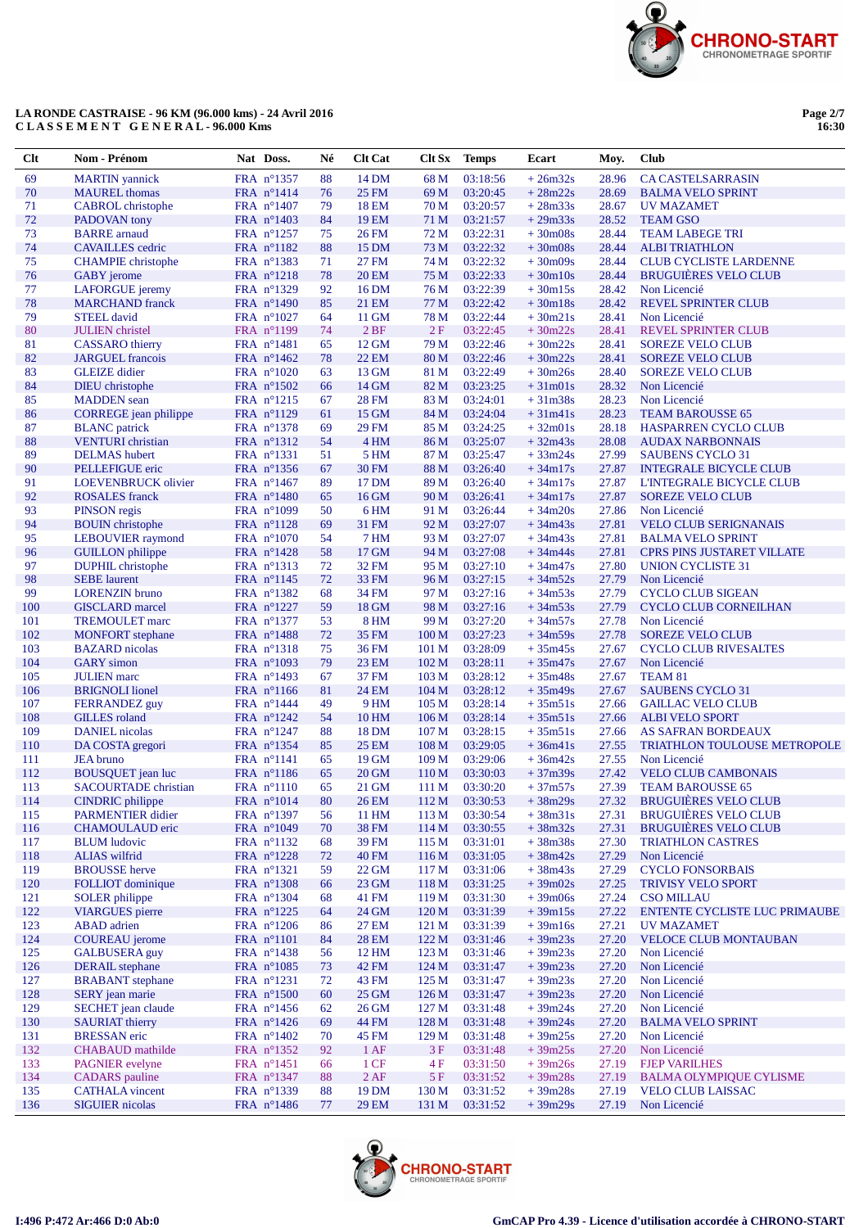

Page 2/7<br>16:30

| Clt        | Nom - Prénom                                         | Nat Doss.                         | Né       | <b>Clt Cat</b> | Clt Sx                               | <b>Temps</b>         | Ecart                  | Moy.           | <b>Club</b>                                             |
|------------|------------------------------------------------------|-----------------------------------|----------|----------------|--------------------------------------|----------------------|------------------------|----------------|---------------------------------------------------------|
| 69         | <b>MARTIN</b> yannick                                | FRA n°1357                        | 88       | 14 DM          | 68 M                                 | 03:18:56             | $+26m32s$              | 28.96          | <b>CA CASTELSARRASIN</b>                                |
| 70         | <b>MAUREL</b> thomas                                 | FRA n°1414                        | 76       | <b>25 FM</b>   | 69 M                                 | 03:20:45             | $+28m22s$              | 28.69          | <b>BALMA VELO SPRINT</b>                                |
| 71         | <b>CABROL</b> christophe                             | FRA n°1407                        | 79       | 18 EM          | 70 M                                 | 03:20:57             | $+28m33s$              | 28.67          | <b>UV MAZAMET</b>                                       |
| 72         | PADOVAN tony                                         | FRA n°1403                        | 84       | 19 EM          | 71 M                                 | 03:21:57             | $+29m33s$              | 28.52          | <b>TEAM GSO</b>                                         |
| 73<br>74   | <b>BARRE</b> arnaud                                  | FRA nº1257                        | 75<br>88 | 26 FM          | 72 M<br>73 M                         | 03:22:31<br>03:22:32 | $+30m08s$<br>$+30m08s$ | 28.44<br>28.44 | <b>TEAM LABEGE TRI</b><br><b>ALBI TRIATHLON</b>         |
| 75         | <b>CAVAILLES</b> cedric<br><b>CHAMPIE</b> christophe | FRA n°1182<br>FRA nº1383          | 71       | 15 DM<br>27 FM | 74 M                                 | 03:22:32             | $+30m09s$              | 28.44          | <b>CLUB CYCLISTE LARDENNE</b>                           |
| 76         | <b>GABY</b> jerome                                   | FRA n°1218                        | 78       | <b>20 EM</b>   | 75 M                                 | 03:22:33             | $+30m10s$              | 28.44          | <b>BRUGUIÈRES VELO CLUB</b>                             |
| 77         | LAFORGUE jeremy                                      | FRA n°1329                        | 92       | 16 DM          | 76 M                                 | 03:22:39             | $+30m15s$              | 28.42          | Non Licencié                                            |
| 78         | <b>MARCHAND</b> franck                               | FRA n°1490                        | 85       | 21 EM          | 77 M                                 | 03:22:42             | $+30m18s$              | 28.42          | <b>REVEL SPRINTER CLUB</b>                              |
| 79         | <b>STEEL</b> david                                   | FRA $n^{\circ}1027$               | 64       | 11 GM          | 78 M                                 | 03:22:44             | $+30m21s$              | 28.41          | Non Licencié                                            |
| 80         | <b>JULIEN</b> christel                               | FRA n°1199                        | 74       | 2BF            | 2F                                   | 03:22:45             | $+30m22s$              | 28.41          | <b>REVEL SPRINTER CLUB</b>                              |
| 81         | <b>CASSARO</b> thierry                               | FRA n°1481                        | 65       | 12 GM          | 79 M                                 | 03:22:46             | $+30m22s$              | 28.41          | <b>SOREZE VELO CLUB</b>                                 |
| 82         | <b>JARGUEL</b> francois                              | FRA n°1462                        | 78       | 22 EM          | 80 M                                 | 03:22:46             | $+30m22s$              | 28.41          | <b>SOREZE VELO CLUB</b>                                 |
| 83<br>84   | <b>GLEIZE</b> didier<br><b>DIEU</b> christophe       | $FRA$ n°1020<br>FRA n°1502        | 63<br>66 | 13 GM<br>14 GM | 81 M<br>82 M                         | 03:22:49<br>03:23:25 | $+30m26s$<br>$+31m01s$ | 28.40<br>28.32 | <b>SOREZE VELO CLUB</b><br>Non Licencié                 |
| 85         | <b>MADDEN</b> sean                                   | FRA $n^{\circ}1215$               | 67       | <b>28 FM</b>   | 83 M                                 | 03:24:01             | $+31m38s$              | 28.23          | Non Licencié                                            |
| 86         | CORREGE jean philippe                                | FRA n°1129                        | 61       | 15 GM          | 84 M                                 | 03:24:04             | $+31m41s$              | 28.23          | <b>TEAM BAROUSSE 65</b>                                 |
| 87         | <b>BLANC</b> patrick                                 | FRA n°1378                        | 69       | 29 FM          | 85 M                                 | 03:24:25             | $+32m01s$              | 28.18          | HASPARREN CYCLO CLUB                                    |
| 88         | <b>VENTURI</b> christian                             | FRA n°1312                        | 54       | 4 HM           | 86 M                                 | 03:25:07             | $+32m43s$              | 28.08          | <b>AUDAX NARBONNAIS</b>                                 |
| 89         | <b>DELMAS</b> hubert                                 | FRA nº1331                        | 51       | 5 HM           | 87 M                                 | 03:25:47             | $+33m24s$              | 27.99          | <b>SAUBENS CYCLO 31</b>                                 |
| 90         | PELLEFIGUE eric                                      | FRA nº1356                        | 67       | 30 FM          | 88 M                                 | 03:26:40             | $+34m17s$              | 27.87          | <b>INTEGRALE BICYCLE CLUB</b>                           |
| 91         | LOEVENBRUCK olivier                                  | FRA n°1467                        | 89       | 17 DM          | 89 M                                 | 03:26:40             | $+34m17s$              | 27.87          | L'INTEGRALE BICYCLE CLUB                                |
| 92<br>93   | <b>ROSALES</b> franck<br><b>PINSON</b> regis         | FRA n°1480<br>FRA n°1099          | 65<br>50 | 16 GM<br>6 HM  | 90 M<br>91 M                         | 03:26:41<br>03:26:44 | $+34m17s$<br>$+34m20s$ | 27.87<br>27.86 | <b>SOREZE VELO CLUB</b><br>Non Licencié                 |
| 94         | <b>BOUIN</b> christophe                              | FRA n°1128                        | 69       | 31 FM          | 92 M                                 | 03:27:07             | $+34m43s$              | 27.81          | <b>VELO CLUB SERIGNANAIS</b>                            |
| 95         | <b>LEBOUVIER</b> raymond                             | FRA n°1070                        | 54       | 7 HM           | 93 M                                 | 03:27:07             | $+34m43s$              | 27.81          | <b>BALMA VELO SPRINT</b>                                |
| 96         | <b>GUILLON</b> philippe                              | FRA n°1428                        | 58       | 17 GM          | 94 M                                 | 03:27:08             | $+34m44s$              | 27.81          | <b>CPRS PINS JUSTARET VILLATE</b>                       |
| 97         | <b>DUPHIL</b> christophe                             | FRA nº1313                        | 72       | 32 FM          | 95 M                                 | 03:27:10             | $+34m47s$              | 27.80          | <b>UNION CYCLISTE 31</b>                                |
| 98         | <b>SEBE</b> laurent                                  | FRA n°1145                        | 72       | 33 FM          | 96 M                                 | 03:27:15             | $+34m52s$              | 27.79          | Non Licencié                                            |
| 99         | <b>LORENZIN</b> bruno                                | FRA n°1382                        | 68       | 34 FM          | 97 M                                 | 03:27:16             | $+34m53s$              | 27.79          | <b>CYCLO CLUB SIGEAN</b>                                |
| 100        | <b>GISCLARD</b> marcel                               | FRA n°1227                        | 59       | 18 GM          | 98 M                                 | 03:27:16             | $+34m53s$              | 27.79          | <b>CYCLO CLUB CORNEILHAN</b>                            |
| 101        | <b>TREMOULET</b> marc                                | FRA n°1377                        | 53       | <b>8 HM</b>    | 99 M                                 | 03:27:20             | $+34m57s$              | 27.78          | Non Licencié                                            |
| 102<br>103 | <b>MONFORT</b> stephane<br><b>BAZARD</b> nicolas     | FRA n°1488<br>FRA nº1318          | 72<br>75 | 35 FM<br>36 FM | 100 <sub>M</sub><br>101 M            | 03:27:23<br>03:28:09 | $+34m59s$<br>$+35m45s$ | 27.78<br>27.67 | <b>SOREZE VELO CLUB</b><br><b>CYCLO CLUB RIVESALTES</b> |
| 104        | <b>GARY</b> simon                                    | FRA n°1093                        | 79       | 23 EM          | 102 <sub>M</sub>                     | 03:28:11             | $+35m47s$              | 27.67          | Non Licencié                                            |
| 105        | <b>JULIEN</b> marc                                   | FRA $n^{\circ}1493$               | 67       | 37 FM          | 103 <sub>M</sub>                     | 03:28:12             | $+35m48s$              | 27.67          | TEAM 81                                                 |
| 106        | <b>BRIGNOLI</b> lionel                               | FRA n°1166                        | 81       | 24 EM          | 104 <sub>M</sub>                     | 03:28:12             | $+35m49s$              | 27.67          | <b>SAUBENS CYCLO 31</b>                                 |
| 107        | <b>FERRANDEZ</b> guy                                 | $FRA$ n°1444                      | 49       | 9 HM           | 105 M                                | 03:28:14             | $+35m51s$              | 27.66          | <b>GAILLAC VELO CLUB</b>                                |
| 108        | <b>GILLES</b> roland                                 | FRA $n^{\circ}1242$               | 54       | 10 HM          | 106 <sub>M</sub>                     | 03:28:14             | $+35m51s$              | 27.66          | <b>ALBI VELO SPORT</b>                                  |
| 109        | <b>DANIEL</b> nicolas                                | FRA n°1247                        | 88       | 18 DM          | 107 <sub>M</sub>                     | 03:28:15             | $+35m51s$              | 27.66          | <b>AS SAFRAN BORDEAUX</b>                               |
| 110<br>111 | DA COSTA gregori                                     | FRA n°1354<br>FRA $n^{\circ}1141$ | 85       | 25 EM<br>19 GM | 108 M<br>109 <sub>M</sub>            | 03:29:05<br>03:29:06 | $+36m41s$<br>$+36m42s$ | 27.55<br>27.55 | <b>TRIATHLON TOULOUSE METROPOLE</b><br>Non Licencié     |
| 112        | <b>JEA</b> bruno<br><b>BOUSQUET</b> jean luc         | FRA n°1186                        | 65<br>65 | 20 GM          | 110 M                                | 03:30:03             | $+37m39s$              | 27.42          | <b>VELO CLUB CAMBONAIS</b>                              |
| 113        | <b>SACOURTADE</b> christian                          | FRA n°1110                        | 65       | 21 GM          | 111 M                                | 03:30:20             | $+37m57s$              | 27.39          | <b>TEAM BAROUSSE 65</b>                                 |
| 114        | CINDRIC philippe                                     | FRA n°1014                        | 80       | <b>26 EM</b>   | 112 M                                | 03:30:53             | $+38m29s$              | 27.32          | <b>BRUGUIÈRES VELO CLUB</b>                             |
| 115        | PARMENTIER didier                                    | FRA n°1397                        | 56       | 11 HM          | 113 M                                | 03:30:54             | $+38m31s$              | 27.31          | <b>BRUGUIÈRES VELO CLUB</b>                             |
| 116        | <b>CHAMOULAUD</b> eric                               | FRA n°1049                        | 70       | 38 FM          | 114 M                                | 03:30:55             | $+38m32s$              | 27.31          | <b>BRUGUIÈRES VELO CLUB</b>                             |
| 117        | <b>BLUM</b> ludovic                                  | FRA nº1132                        | 68       | 39 FM          | 115 M                                | 03:31:01             | $+38m38s$              | 27.30          | <b>TRIATHLON CASTRES</b>                                |
| 118        | <b>ALIAS</b> wilfrid                                 | FRA n°1228                        | 72       | <b>40 FM</b>   | 116M                                 | 03:31:05             | $+38m42s$              | 27.29          | Non Licencié                                            |
| 119        | <b>BROUSSE</b> herve                                 | FRA nº1321                        | 59       | 22 GM          | 117 M                                | 03:31:06             | $+38m43s$              | 27.29          | <b>CYCLO FONSORBAIS</b><br><b>TRIVISY VELO SPORT</b>    |
| 120<br>121 | <b>FOLLIOT</b> dominique<br><b>SOLER</b> philippe    | FRA n°1308<br>FRA n°1304          | 66<br>68 | 23 GM<br>41 FM | 118 <sub>M</sub><br>119 <sub>M</sub> | 03:31:25<br>03:31:30 | $+39m02s$<br>$+39m06s$ | 27.25<br>27.24 | <b>CSO MILLAU</b>                                       |
| 122        | <b>VIARGUES</b> pierre                               | FRA n°1225                        | 64       | 24 GM          | 120 M                                | 03:31:39             | $+39m15s$              | 27.22          | ENTENTE CYCLISTE LUC PRIMAUBE                           |
| 123        | <b>ABAD</b> adrien                                   | $FRA$ n°1206                      | 86       | 27 EM          | 121 M                                | 03:31:39             | $+39m16s$              | 27.21          | UV MAZAMET                                              |
| 124        | <b>COUREAU</b> jerome                                | FRA n°1101                        | 84       | <b>28 EM</b>   | 122 M                                | 03:31:46             | $+39m23s$              | 27.20          | VELOCE CLUB MONTAUBAN                                   |
| 125        | <b>GALBUSERA</b> guy                                 | FRA n°1438                        | 56       | 12 HM          | 123 M                                | 03:31:46             | $+39m23s$              | 27.20          | Non Licencié                                            |
| 126        | <b>DERAIL</b> stephane                               | FRA n°1085                        | 73       | 42 FM          | 124 M                                | 03:31:47             | $+39m23s$              | 27.20          | Non Licencié                                            |
| 127        | <b>BRABANT</b> stephane                              | $FRA$ n°1231                      | 72       | 43 FM          | 125 <sub>M</sub>                     | 03:31:47             | $+39m23s$              | 27.20          | Non Licencié                                            |
| 128        | SERY jean marie                                      | FRA n°1500                        | 60       | 25 GM          | 126 M                                | 03:31:47             | $+39m23s$              | 27.20          | Non Licencié                                            |
| 129<br>130 | SECHET jean claude<br><b>SAURIAT</b> thierry         | FRA n°1456<br>FRA n°1426          | 62<br>69 | 26 GM<br>44 FM | 127 M<br>128 M                       | 03:31:48<br>03:31:48 | $+39m24s$<br>$+39m24s$ | 27.20<br>27.20 | Non Licencié<br><b>BALMA VELO SPRINT</b>                |
| 131        | <b>BRESSAN</b> eric                                  | FRA $n^{\circ}1402$               | 70       | 45 FM          | 129 <sub>M</sub>                     | 03:31:48             | $+39m25s$              | 27.20          | Non Licencié                                            |
| 132        | <b>CHABAUD</b> mathilde                              | FRA nº1352                        | 92       | 1AF            | 3F                                   | 03:31:48             | $+39m25s$              | 27.20          | Non Licencié                                            |
| 133        | <b>PAGNIER</b> evelyne                               | FRA $n^{\circ}1451$               | 66       | $1 \text{CF}$  | 4 F                                  | 03:31:50             | $+39m26s$              | 27.19          | <b>FJEP VARILHES</b>                                    |
| 134        | <b>CADARS</b> pauline                                | FRA n°1347                        | 88       | 2AF            | 5 F                                  | 03:31:52             | $+39m28s$              | 27.19          | <b>BALMA OLYMPIQUE CYLISME</b>                          |
| 135        | <b>CATHALA</b> vincent                               | FRA nº1339                        | 88       | 19 DM          | 130 M                                | 03:31:52             | $+39m28s$              | 27.19          | <b>VELO CLUB LAISSAC</b>                                |
| 136        | <b>SIGUIER</b> nicolas                               | FRA n°1486                        | 77       | <b>29 EM</b>   | 131 M                                | 03:31:52             | $+39m29s$              | 27.19          | Non Licencié                                            |

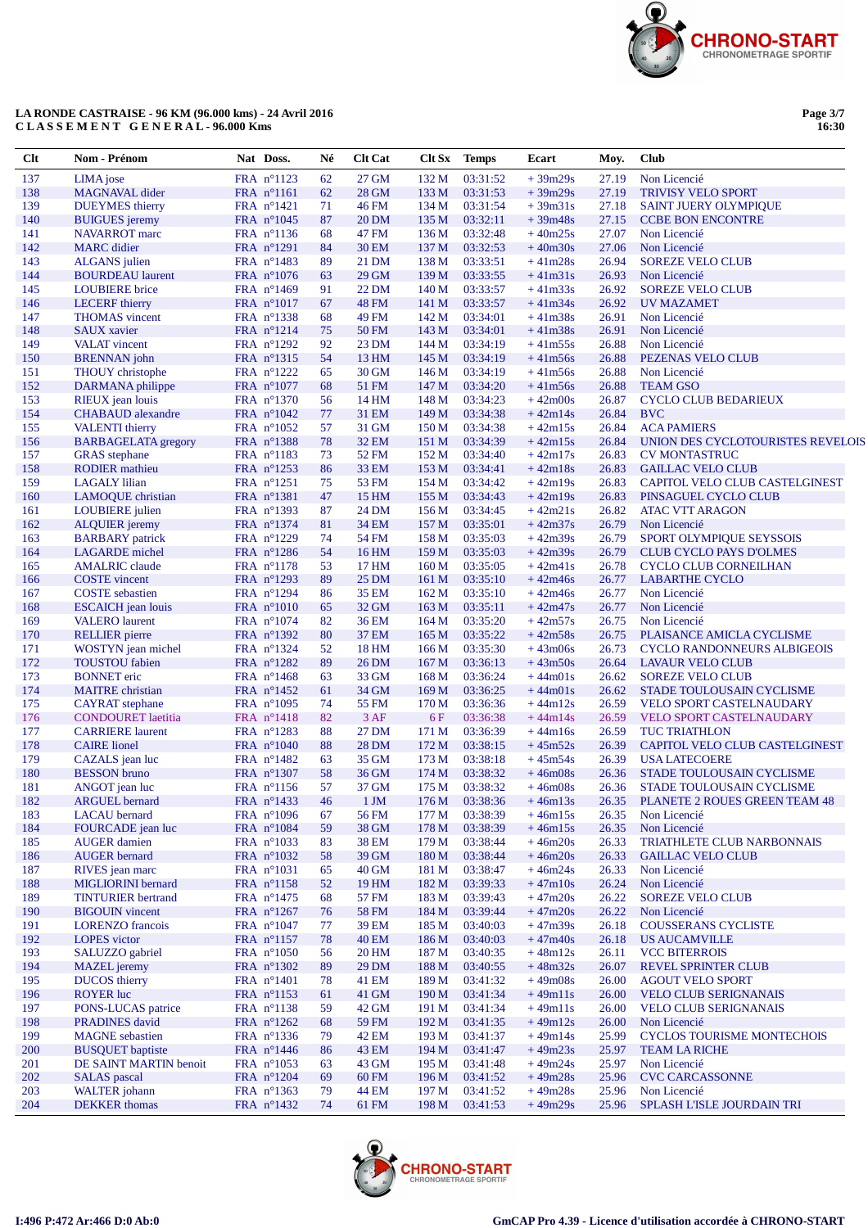

Page 3/7<br>16:30

| $Cl$ t     | Nom - Prénom                                    | Nat Doss.                                   | Né       | Clt Cat                      | Clt Sx                    | <b>Temps</b>         | Ecart                  | Moy.           | <b>Club</b>                                        |
|------------|-------------------------------------------------|---------------------------------------------|----------|------------------------------|---------------------------|----------------------|------------------------|----------------|----------------------------------------------------|
| 137        | LIMA jose                                       | FRA nº1123                                  | 62       | 27 GM                        | 132 M                     | 03:31:52             | $+39m29s$              | 27.19          | Non Licencié                                       |
| 138        | <b>MAGNAVAL</b> dider                           | FRA n°1161                                  | 62       | 28 GM                        | 133 M                     | 03:31:53             | $+39m29s$              | 27.19          | <b>TRIVISY VELO SPORT</b>                          |
| 139        | <b>DUEYMES</b> thierry                          | FRA $n^{\circ}1421$                         | 71       | <b>46 FM</b>                 | 134 M                     | 03:31:54             | $+39m31s$              | 27.18          | <b>SAINT JUERY OLYMPIQUE</b>                       |
| 140        | <b>BUIGUES</b> jeremy                           | FRA $n^{\circ}1045$                         | 87       | <b>20 DM</b>                 | 135 M                     | 03:32:11             | $+39m48s$              | 27.15          | <b>CCBE BON ENCONTRE</b>                           |
| 141        | <b>NAVARROT</b> marc                            | FRA nº1136                                  | 68       | 47 FM                        | 136 M                     | 03:32:48             | $+40m25s$              | 27.07          | Non Licencié                                       |
| 142        | <b>MARC</b> didier                              | FRA n°1291                                  | 84       | <b>30 EM</b>                 | 137 M                     | 03:32:53             | $+40m30s$              | 27.06          | Non Licencié                                       |
| 143<br>144 | <b>ALGANS</b> julien<br><b>BOURDEAU</b> laurent | FRA n°1483                                  | 89<br>63 | 21 DM<br>29 GM               | 138 M<br>139 M            | 03:33:51<br>03:33:55 | $+41m28s$<br>$+41m31s$ | 26.94<br>26.93 | <b>SOREZE VELO CLUB</b><br>Non Licencié            |
| 145        | <b>LOUBIERE</b> brice                           | FRA $n^{\circ}1076$<br>FRA n°1469           | 91       | 22 DM                        | 140 M                     | 03:33:57             | $+41m33s$              | 26.92          | <b>SOREZE VELO CLUB</b>                            |
| 146        | <b>LECERF</b> thierry                           | FRA $n^{\circ}1017$                         | 67       | <b>48 FM</b>                 | 141 M                     | 03:33:57             | $+41m34s$              | 26.92          | <b>UV MAZAMET</b>                                  |
| 147        | <b>THOMAS</b> vincent                           | FRA nº1338                                  | 68       | 49 FM                        | 142 M                     | 03:34:01             | $+41m38s$              | 26.91          | Non Licencié                                       |
| 148        | <b>SAUX</b> xavier                              | FRA n°1214                                  | 75       | <b>50 FM</b>                 | 143 M                     | 03:34:01             | $+41m38s$              | 26.91          | Non Licencié                                       |
| 149        | <b>VALAT</b> vincent                            | FRA $n^{\circ}1292$                         | 92       | 23 DM                        | 144 M                     | 03:34:19             | $+41m55s$              | 26.88          | Non Licencié                                       |
| 150        | <b>BRENNAN</b> john                             | FRA nº1315                                  | 54       | 13 HM                        | 145 M                     | 03:34:19             | $+41m56s$              | 26.88          | PEZENAS VELO CLUB                                  |
| 151        | THOUY christophe                                | FRA $n^{\circ}1222$                         | 65       | 30 GM                        | 146 M                     | 03:34:19             | $+41m56s$              | 26.88          | Non Licencié                                       |
| 152        | DARMANA philippe                                | FRA n°1077                                  | 68       | 51 FM                        | 147 M                     | 03:34:20             | $+41m56s$              | 26.88          | <b>TEAM GSO</b>                                    |
| 153        | RIEUX jean louis                                | FRA n°1370                                  | 56       | 14 HM                        | 148 M                     | 03:34:23             | $+42m00s$              | 26.87          | <b>CYCLO CLUB BEDARIEUX</b>                        |
| 154        | <b>CHABAUD</b> alexandre                        | FRA $n^{\circ}1042$                         | 77       | 31 EM                        | 149 M                     | 03:34:38             | $+42m14s$              | 26.84          | <b>BVC</b>                                         |
| 155        | <b>VALENTI</b> thierry                          | FRA $n^{\circ}1052$                         | 57       | 31 GM                        | 150 M                     | 03:34:38             | $+42m15s$              | 26.84          | <b>ACA PAMIERS</b>                                 |
| 156        | <b>BARBAGELATA</b> gregory                      | FRA n°1388                                  | 78       | <b>32 EM</b>                 | 151 M                     | 03:34:39<br>03:34:40 | $+42m15s$              | 26.84          | UNION DES CYCLOTOURISTES REVELOIS                  |
| 157<br>158 | <b>GRAS</b> stephane<br><b>RODIER</b> mathieu   | FRA n°1183<br>FRA n°1253                    | 73<br>86 | 52 FM<br>33 EM               | 152 M<br>153 M            | 03:34:41             | $+42m17s$<br>$+42m18s$ | 26.83<br>26.83 | <b>CV MONTASTRUC</b><br><b>GAILLAC VELO CLUB</b>   |
| 159        | <b>LAGALY</b> lilian                            | FRA $n^{\circ}1251$                         | 75       | 53 FM                        | 154 M                     | 03:34:42             | $+42m19s$              | 26.83          | CAPITOL VELO CLUB CASTELGINEST                     |
| 160        | LAMOQUE christian                               | FRA n°1381                                  | 47       | 15 HM                        | 155 M                     | 03:34:43             | $+42m19s$              | 26.83          | PINSAGUEL CYCLO CLUB                               |
| 161        | <b>LOUBIERE</b> julien                          | FRA $n^{\circ}$ 1393                        | 87       | 24 DM                        | 156 M                     | 03:34:45             | $+42m21s$              | 26.82          | <b>ATAC VTT ARAGON</b>                             |
| 162        | <b>ALQUIER</b> jeremy                           | FRA n°1374                                  | 81       | <b>34 EM</b>                 | 157 M                     | 03:35:01             | $+42m37s$              | 26.79          | Non Licencié                                       |
| 163        | <b>BARBARY</b> patrick                          | FRA n°1229                                  | 74       | <b>54 FM</b>                 | 158 M                     | 03:35:03             | $+42m39s$              | 26.79          | SPORT OLYMPIQUE SEYSSOIS                           |
| 164        | <b>LAGARDE</b> michel                           | FRA nº1286                                  | 54       | 16 HM                        | 159 M                     | 03:35:03             | $+42m39s$              | 26.79          | <b>CLUB CYCLO PAYS D'OLMES</b>                     |
| 165        | <b>AMALRIC</b> claude                           | FRA n°1178                                  | 53       | 17 HM                        | 160 <sub>M</sub>          | 03:35:05             | $+42m41s$              | 26.78          | CYCLO CLUB CORNEILHAN                              |
| 166        | <b>COSTE</b> vincent                            | FRA n°1293                                  | 89       | 25 DM                        | 161 M                     | 03:35:10             | $+42m46s$              | 26.77          | <b>LABARTHE CYCLO</b>                              |
| 167        | <b>COSTE</b> sebastien                          | FRA n°1294                                  | 86       | <b>35 EM</b>                 | 162 M                     | 03:35:10             | $+42m46s$              | 26.77          | Non Licencié                                       |
| 168        | <b>ESCAICH</b> jean louis                       | $FRA$ n°1010                                | 65       | 32 GM                        | 163 M                     | 03:35:11             | $+42m47s$              | 26.77          | Non Licencié                                       |
| 169        | <b>VALERO</b> laurent                           | FRA $n^{\circ}1074$                         | 82       | 36 EM                        | 164 M                     | 03:35:20             | $+42m57s$              | 26.75          | Non Licencié                                       |
| 170        | <b>RELLIER</b> pierre                           | FRA n°1392                                  | 80       | 37 EM                        | 165 M                     | 03:35:22             | $+42m58s$              | 26.75          | PLAISANCE AMICLA CYCLISME                          |
| 171<br>172 | WOSTYN jean michel                              | FRA nº1324                                  | 52<br>89 | <b>18 HM</b><br><b>26 DM</b> | 166 <sub>M</sub>          | 03:35:30             | $+43m06s$              | 26.73          | <b>CYCLO RANDONNEURS ALBIGEOIS</b>                 |
| 173        | <b>TOUSTOU</b> fabien<br><b>BONNET</b> eric     | FRA n°1282<br>FRA $n^{\circ}1468$           | 63       | 33 GM                        | 167 <sub>M</sub><br>168 M | 03:36:13<br>03:36:24 | $+43m50s$<br>$+44m01s$ | 26.64<br>26.62 | <b>LAVAUR VELO CLUB</b><br><b>SOREZE VELO CLUB</b> |
| 174        | <b>MAITRE</b> christian                         | FRA $n^{\circ}1452$                         | 61       | 34 GM                        | 169 M                     | 03:36:25             | $+44m01s$              | 26.62          | STADE TOULOUSAIN CYCLISME                          |
| 175        | <b>CAYRAT</b> stephane                          | FRA n°1095                                  | 74       | 55 FM                        | 170 M                     | 03:36:36             | $+44m12s$              | 26.59          | <b>VELO SPORT CASTELNAUDARY</b>                    |
| 176        | <b>CONDOURET</b> laetitia                       | FRA n°1418                                  | 82       | 3AF                          | 6F                        | 03:36:38             | $+44m14s$              | 26.59          | VELO SPORT CASTELNAUDARY                           |
| 177        | <b>CARRIERE</b> laurent                         | FRA n°1283                                  | 88       | 27 DM                        | 171 M                     | 03:36:39             | $+44m16s$              | 26.59          | <b>TUC TRIATHLON</b>                               |
| 178        | <b>CAIRE</b> lionel                             | FRA $n^{\circ}1040$                         | 88       | 28 DM                        | 172 M                     | 03:38:15             | $+45m52s$              | 26.39          | CAPITOL VELO CLUB CASTELGINEST                     |
| 179        | CAZALS jean luc                                 | FRA n°1482                                  | 63       | 35 GM                        | 173 M                     | 03:38:18             | $+45m54s$              | 26.39          | <b>USA LATECOERE</b>                               |
| 180        | <b>BESSON</b> bruno                             | FRA n°1307                                  | 58       | 36 GM                        | 174 M                     | 03:38:32             | $+46m08s$              | 26.36          | STADE TOULOUSAIN CYCLISME                          |
| 181        | ANGOT jean luc                                  | FRA nº1156                                  | 57       | 37 GM                        | 175 M                     | 03:38:32             | $+46m08s$              | 26.36          | STADE TOULOUSAIN CYCLISME                          |
| 182        | <b>ARGUEL</b> bernard                           | FRA n°1433                                  | $46\,$   | $1 \,$ JM                    | 176 M                     | 03:38:36             | $+46m13s$              | 26.35          | PLANETE 2 ROUES GREEN TEAM 48                      |
| 183        | <b>LACAU</b> bernard                            | FRA n°1096                                  | 67       | 56 FM                        | 177 M                     | 03:38:39             | $+46m15s$              | 26.35          | Non Licencié                                       |
| 184<br>185 | FOURCADE jean luc<br><b>AUGER</b> damien        | FRA n°1084<br>FRA n°1033                    | 59<br>83 | 38 GM<br>38 EM               | 178 M<br>179 M            | 03:38:39<br>03:38:44 | $+46m15s$<br>$+46m20s$ | 26.35<br>26.33 | Non Licencié<br><b>TRIATHLETE CLUB NARBONNAIS</b>  |
| 186        | <b>AUGER</b> bernard                            | FRA n°1032                                  | 58       | 39 GM                        | 180 M                     | 03:38:44             | $+46m20s$              | 26.33          | <b>GAILLAC VELO CLUB</b>                           |
| 187        | RIVES jean marc                                 | FRA $n^{\circ}1031$                         | 65       | 40 GM                        | 181 M                     | 03:38:47             | $+46m24s$              | 26.33          | Non Licencié                                       |
| 188        | MIGLIORINI bernard                              | FRA n°1158                                  | 52       | 19 HM                        | 182 M                     | 03:39:33             | $+47m10s$              | 26.24          | Non Licencié                                       |
| 189        | <b>TINTURIER</b> bertrand                       | FRA $n^{\circ}$ 1475                        | 68       | 57 FM                        | 183 M                     | 03:39:43             | $+47m20s$              | 26.22          | <b>SOREZE VELO CLUB</b>                            |
| 190        | <b>BIGOUIN</b> vincent                          | FRA n°1267                                  | 76       | 58 FM                        | 184 M                     | 03:39:44             | $+47m20s$              | 26.22          | Non Licencié                                       |
| 191        | <b>LORENZO</b> francois                         | FRA $n^{\circ}1047$                         | 77       | 39 EM                        | 185 M                     | 03:40:03             | $+47m39s$              | 26.18          | <b>COUSSERANS CYCLISTE</b>                         |
| 192        | <b>LOPES</b> victor                             | FRA n°1157                                  | 78       | <b>40 EM</b>                 | 186 M                     | 03:40:03             | $+47m40s$              | 26.18          | US AUCAMVILLE                                      |
| 193        | SALUZZO gabriel                                 | FRA $n^{\circ}1050$                         | 56       | 20 HM                        | 187 M                     | 03:40:35             | $+48m12s$              | 26.11          | <b>VCC BITERROIS</b>                               |
| 194        | <b>MAZEL</b> jeremy                             | FRA n°1302                                  | 89       | 29 DM                        | 188 M                     | 03:40:55             | $+48m32s$              | 26.07          | REVEL SPRINTER CLUB                                |
| 195        | <b>DUCOS</b> thierry                            | FRA $n^{\circ}1401$                         | 78       | 41 EM                        | 189 M                     | 03:41:32             | $+49m08s$              | 26.00          | <b>AGOUT VELO SPORT</b>                            |
| 196        | <b>ROYER</b> luc                                | FRA $n^{\circ}1153$                         | 61       | 41 GM                        | 190 <sub>M</sub>          | 03:41:34             | $+49m11s$              | 26.00          | <b>VELO CLUB SERIGNANAIS</b>                       |
| 197        | PONS-LUCAS patrice                              | FRA nº1138                                  | 59       | 42 GM                        | 191 M                     | 03:41:34             | $+49m11s$              | 26.00          | <b>VELO CLUB SERIGNANAIS</b>                       |
| 198<br>199 | <b>PRADINES</b> david<br><b>MAGNE</b> sebastien | FRA $n^{\circ}1262$<br>FRA $n^{\circ}$ 1336 | 68<br>79 | 59 FM<br>42 EM               | 192 M<br>193 M            | 03:41:35<br>03:41:37 | $+49m12s$<br>$+49m14s$ | 26.00<br>25.99 | Non Licencié<br><b>CYCLOS TOURISME MONTECHOIS</b>  |
| 200        | <b>BUSQUET</b> baptiste                         | FRA n°1446                                  | 86       | 43 EM                        | 194 M                     | 03:41:47             | $+49m23s$              | 25.97          | <b>TEAM LA RICHE</b>                               |
| 201        | DE SAINT MARTIN benoit                          | FRA n°1053                                  | 63       | 43 GM                        | 195 M                     | 03:41:48             | $+49m24s$              | 25.97          | Non Licencié                                       |
| 202        | <b>SALAS</b> pascal                             | FRA n°1204                                  | 69       | 60 FM                        | 196 M                     | 03:41:52             | $+49m28s$              | 25.96          | <b>CVC CARCASSONNE</b>                             |
| 203        | <b>WALTER</b> johann                            | FRA nº1363                                  | 79       | 44 EM                        | 197 M                     | 03:41:52             | $+49m28s$              | 25.96          | Non Licencié                                       |
| 204        | <b>DEKKER</b> thomas                            | FRA n°1432                                  | 74       | 61 FM                        | 198 M                     | 03:41:53             | $+49m29s$              | 25.96          | SPLASH L'ISLE JOURDAIN TRI                         |

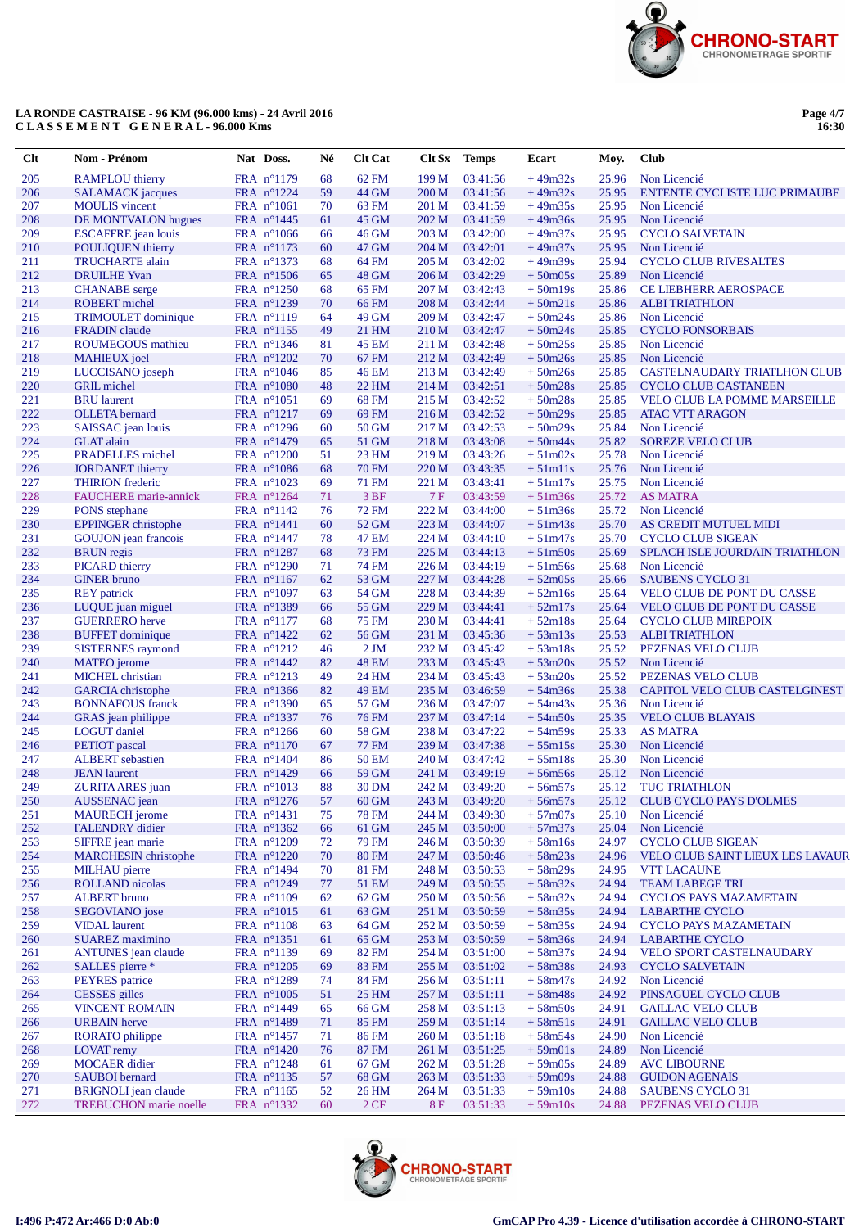

Page 4/7<br>16:30

| Clt        | Nom - Prénom                                     | Nat Doss.                         | Né       | <b>Clt Cat</b>        | Clt Sx         | <b>Temps</b>         | Ecart                  | Moy.           | <b>Club</b>                                                         |
|------------|--------------------------------------------------|-----------------------------------|----------|-----------------------|----------------|----------------------|------------------------|----------------|---------------------------------------------------------------------|
| 205        | <b>RAMPLOU</b> thierry                           | FRA n°1179                        | 68       | 62 FM                 | 199 M          | 03:41:56             | $+49m32s$              | 25.96          | Non Licencié                                                        |
| 206        | <b>SALAMACK</b> jacques                          | FRA $n^{\circ}1224$               | 59       | 44 GM                 | 200 M          | 03:41:56             | $+49m32s$              | 25.95          | ENTENTE CYCLISTE LUC PRIMAUBE                                       |
| 207        | <b>MOULIS</b> vincent                            | FRA $n^{\circ}1061$               | 70       | 63 FM                 | 201 M          | 03:41:59             | $+49m35s$              | 25.95          | Non Licencié                                                        |
| 208        | DE MONTVALON hugues                              | FRA $n^{\circ}$ 1445              | 61       | 45 GM                 | 202 M          | 03:41:59             | $+49m36s$              | 25.95          | Non Licencié                                                        |
| 209        | <b>ESCAFFRE</b> jean louis                       | FRA $n^{\circ}1066$               | 66       | 46 GM                 | 203 M          | 03:42:00             | $+49m37s$              | 25.95          | <b>CYCLO SALVETAIN</b>                                              |
| 210        | <b>POULIQUEN</b> thierry                         | FRA n°1173                        | 60       | 47 GM                 | 204 M          | 03:42:01             | $+49m37s$              | 25.95          | Non Licencié                                                        |
| 211<br>212 | <b>TRUCHARTE</b> alain<br><b>DRUILHE</b> Yvan    | FRA nº1373<br>FRA n°1506          | 68<br>65 | 64 FM<br>48 GM        | 205 M<br>206 M | 03:42:02<br>03:42:29 | $+49m39s$<br>$+50m05s$ | 25.94<br>25.89 | <b>CYCLO CLUB RIVESALTES</b><br>Non Licencié                        |
| 213        | <b>CHANABE</b> serge                             | FRA $n^{\circ}1250$               | 68       | 65 FM                 | 207 M          | 03:42:43             | $+50m19s$              | 25.86          | <b>CE LIEBHERR AEROSPACE</b>                                        |
| 214        | <b>ROBERT</b> michel                             | FRA nº1239                        | 70       | 66 FM                 | 208 M          | 03:42:44             | $+50m21s$              | 25.86          | <b>ALBITRIATHLON</b>                                                |
| 215        | <b>TRIMOULET</b> dominique                       | FRA n°1119                        | 64       | 49 GM                 | 209 M          | 03:42:47             | $+50m24s$              | 25.86          | Non Licencié                                                        |
| 216        | <b>FRADIN</b> claude                             | FRA n°1155                        | 49       | 21 HM                 | 210 M          | 03:42:47             | $+50m24s$              | 25.85          | <b>CYCLO FONSORBAIS</b>                                             |
| 217        | ROUMEGOUS mathieu                                | FRA nº1346                        | 81       | 45 EM                 | 211 M          | 03:42:48             | $+50m25s$              | 25.85          | Non Licencié                                                        |
| 218        | <b>MAHIEUX</b> joel                              | FRA n°1202                        | 70       | 67 FM                 | 212 M          | 03:42:49             | $+50m26s$              | 25.85          | Non Licencié                                                        |
| 219        | LUCCISANO joseph                                 | FRA $n^{\circ}1046$               | 85       | 46 EM                 | 213 M          | 03:42:49             | $+50m26s$              | 25.85          | CASTELNAUDARY TRIATLHON CLUB                                        |
| 220        | <b>GRIL</b> michel                               | FRA n°1080                        | 48       | 22 HM                 | 214M           | 03:42:51             | $+50m28s$              | 25.85          | <b>CYCLO CLUB CASTANEEN</b>                                         |
| 221<br>222 | <b>BRU</b> laurent<br><b>OLLETA</b> bernard      | FRA $n^{\circ}1051$<br>FRA n°1217 | 69<br>69 | 68 FM<br>69 FM        | 215 M<br>216M  | 03:42:52<br>03:42:52 | $+50m28s$<br>$+50m29s$ | 25.85<br>25.85 | <b>VELO CLUB LA POMME MARSEILLE</b><br><b>ATAC VTT ARAGON</b>       |
| 223        | SAISSAC jean louis                               | FRA $n^{\circ}1296$               | 60       | 50 GM                 | 217 M          | 03:42:53             | $+50m29s$              | 25.84          | Non Licencié                                                        |
| 224        | <b>GLAT</b> alain                                | FRA n°1479                        | 65       | 51 GM                 | 218 M          | 03:43:08             | $+50m44s$              | 25.82          | <b>SOREZE VELO CLUB</b>                                             |
| 225        | <b>PRADELLES</b> michel                          | FRA n°1200                        | 51       | 23 HM                 | 219 M          | 03:43:26             | $+51m02s$              | 25.78          | Non Licencié                                                        |
| 226        | <b>JORDANET</b> thierry                          | FRA n°1086                        | 68       | <b>70 FM</b>          | 220 M          | 03:43:35             | $+51m11s$              | 25.76          | Non Licencié                                                        |
| 227        | <b>THIRION</b> frederic                          | FRA $n^{\circ}1023$               | 69       | 71 FM                 | 221 M          | 03:43:41             | $+51m17s$              | 25.75          | Non Licencié                                                        |
| 228        | <b>FAUCHERE</b> marie-annick                     | FRA $n^{\circ}1264$               | 71       | 3 BF                  | 7F             | 03:43:59             | $+51m36s$              | 25.72          | <b>AS MATRA</b>                                                     |
| 229        | PONS stephane                                    | FRA $n^{\circ}1142$               | 76       | <b>72 FM</b>          | 222 M          | 03:44:00             | $+51m36s$              | 25.72          | Non Licencié                                                        |
| 230        | <b>EPPINGER</b> christophe                       | FRA n°1441                        | 60       | 52 GM                 | 223 M          | 03:44:07             | $+51m43s$              | 25.70          | AS CREDIT MUTUEL MIDI                                               |
| 231        | <b>GOUJON</b> jean francois                      | FRA $n^{\circ}$ 1447              | 78       | 47 EM                 | 224 M          | 03:44:10             | $+51m47s$              | 25.70          | <b>CYCLO CLUB SIGEAN</b>                                            |
| 232<br>233 | <b>BRUN</b> regis<br><b>PICARD</b> thierry       | FRA n°1287<br>FRA n°1290          | 68<br>71 | 73 FM<br>74 FM        | 225 M<br>226 M | 03:44:13<br>03:44:19 | $+51m50s$              | 25.69<br>25.68 | SPLACH ISLE JOURDAIN TRIATHLON<br>Non Licencié                      |
| 234        | <b>GINER</b> bruno                               | FRA n°1167                        | 62       | 53 GM                 | 227 M          | 03:44:28             | $+51m56s$<br>$+52m05s$ | 25.66          | <b>SAUBENS CYCLO 31</b>                                             |
| 235        | <b>REY</b> patrick                               | FRA $n^{\circ}1097$               | 63       | 54 GM                 | 228 M          | 03:44:39             | $+52m16s$              | 25.64          | VELO CLUB DE PONT DU CASSE                                          |
| 236        | LUQUE juan miguel                                | FRA nº1389                        | 66       | 55 GM                 | 229 M          | 03:44:41             | $+52m17s$              | 25.64          | <b>VELO CLUB DE PONT DU CASSE</b>                                   |
| 237        | <b>GUERRERO</b> herve                            | FRA $n^{\circ}1177$               | 68       | 75 FM                 | 230 M          | 03:44:41             | $+52m18s$              | 25.64          | <b>CYCLO CLUB MIREPOIX</b>                                          |
| 238        | <b>BUFFET</b> dominique                          | FRA $n^{\circ}1422$               | 62       | 56 GM                 | 231 M          | 03:45:36             | $+53m13s$              | 25.53          | <b>ALBI TRIATHLON</b>                                               |
| 239        | <b>SISTERNES</b> raymond                         | FRA $n^{\circ}1212$               | 46       | 2JM                   | 232 M          | 03:45:42             | $+53m18s$              | 25.52          | PEZENAS VELO CLUB                                                   |
| 240        | <b>MATEO</b> jerome                              | FRA $n^{\circ}1442$               | 82       | <b>48 EM</b>          | 233 M          | 03:45:43             | $+53m20s$              | 25.52          | Non Licencié                                                        |
| 241        | <b>MICHEL</b> christian                          | FRA n°1213                        | 49       | 24 HM                 | 234 M          | 03:45:43             | $+53m20s$              | 25.52          | PEZENAS VELO CLUB                                                   |
| 242<br>243 | <b>GARCIA</b> christophe                         | FRA nº1366                        | 82       | <b>49 EM</b><br>57 GM | 235 M          | 03:46:59             | $+54m36s$              | 25.38          | CAPITOL VELO CLUB CASTELGINEST<br>Non Licencié                      |
| 244        | <b>BONNAFOUS</b> franck<br>GRAS jean philippe    | FRA $n^{\circ}1390$<br>FRA nº1337 | 65<br>76 | <b>76 FM</b>          | 236 M<br>237 M | 03:47:07<br>03:47:14 | $+54m43s$<br>$+54m50s$ | 25.36<br>25.35 | <b>VELO CLUB BLAYAIS</b>                                            |
| 245        | <b>LOGUT</b> daniel                              | FRA $n^{\circ}1266$               | 60       | 58 GM                 | 238 M          | 03:47:22             | $+54m59s$              | 25.33          | <b>AS MATRA</b>                                                     |
| 246        | PETIOT pascal                                    | FRA n°1170                        | 67       | <b>77 FM</b>          | 239 M          | 03:47:38             | $+55m15s$              | 25.30          | Non Licencié                                                        |
| 247        | <b>ALBERT</b> sebastien                          | FRA $n^{\circ}1404$               | 86       | 50 EM                 | 240 M          | 03:47:42             | $+55m18s$              | 25.30          | Non Licencié                                                        |
| 248        | <b>JEAN</b> laurent                              | FRA n°1429                        | 66       | 59 GM                 | 241 M          | 03:49:19             | $+56m56s$              | 25.12          | Non Licencié                                                        |
| 249        | ZURITA ARES juan                                 | FRA $n^{\circ}1013$               | 88       | 30 DM                 | 242 M          | 03:49:20             | $+56m57s$              | 25.12          | <b>TUC TRIATHLON</b>                                                |
| 250        | AUSSENAC jean                                    | FRA $n^{\circ}1276$               | 57       | 60 GM                 | 243 M          | 03:49:20             | $+56m57s$              | 25.12          | CLUB CYCLO PAYS D'OLMES                                             |
| 251        | <b>MAURECH</b> jerome                            | FRA n°1431                        | 75       | 78 FM                 | 244 M          | 03:49:30             | $+57m07s$              | 25.10          | Non Licencié                                                        |
| 252        | <b>FALENDRY</b> didier                           | FRA nº1362                        | 66       | 61 GM                 | 245 M          | 03:50:00             | $+57m37s$              | 25.04          | Non Licencié                                                        |
| 253<br>254 | SIFFRE jean marie<br><b>MARCHESIN</b> christophe | FRA n°1209                        | 72       | 79 FM                 | 246 M          | 03:50:39             | $+58m16s$              | 24.97          | <b>CYCLO CLUB SIGEAN</b><br><b>VELO CLUB SAINT LIEUX LES LAVAUR</b> |
| 255        | <b>MILHAU</b> pierre                             | FRA n°1220<br>FRA $n^{\circ}1494$ | 70<br>70 | <b>80 FM</b><br>81 FM | 247 M<br>248 M | 03:50:46<br>03:50:53 | $+58m23s$<br>$+58m29s$ | 24.96<br>24.95 | <b>VTT LACAUNE</b>                                                  |
| 256        | <b>ROLLAND</b> nicolas                           | FRA n°1249                        | 77       | 51 EM                 | 249 M          | 03:50:55             | $+58m32s$              | 24.94          | <b>TEAM LABEGE TRI</b>                                              |
| 257        | <b>ALBERT</b> bruno                              | FRA n°1109                        | 62       | 62 GM                 | 250 M          | 03:50:56             | $+58m32s$              | 24.94          | <b>CYCLOS PAYS MAZAMETAIN</b>                                       |
| 258        | SEGOVIANO jose                                   | FRA n°1015                        | 61       | 63 GM                 | 251 M          | 03:50:59             | $+58m35s$              | 24.94          | <b>LABARTHE CYCLO</b>                                               |
| 259        | <b>VIDAL</b> laurent                             | FRA n°1108                        | 63       | 64 GM                 | 252 M          | 03:50:59             | $+58m35s$              | 24.94          | <b>CYCLO PAYS MAZAMETAIN</b>                                        |
| 260        | <b>SUAREZ</b> maximino                           | FRA nº1351                        | 61       | 65 GM                 | 253M           | 03:50:59             | $+58m36s$              | 24.94          | <b>LABARTHE CYCLO</b>                                               |
| 261        | <b>ANTUNES</b> jean claude                       | FRA nº1139                        | 69       | 82 FM                 | 254 M          | 03:51:00             | $+58m37s$              | 24.94          | VELO SPORT CASTELNAUDARY                                            |
| 262        | SALLES pierre *                                  | FRA n°1205                        | 69       | 83 FM                 | 255 M          | 03:51:02             | $+58m38s$              | 24.93          | <b>CYCLO SALVETAIN</b>                                              |
| 263        | PEYRES patrice                                   | FRA n°1289                        | 74       | 84 FM                 | 256 M          | 03:51:11             | $+58m47s$              | 24.92          | Non Licencié                                                        |
| 264        | <b>CESSES</b> gilles                             | FRA $n^{\circ}1005$               | 51       | 25 HM                 | 257 M          | 03:51:11             | $+58m48s$              | 24.92          | PINSAGUEL CYCLO CLUB                                                |
| 265<br>266 | <b>VINCENT ROMAIN</b><br><b>URBAIN</b> herve     | FRA n°1449<br>FRA n°1489          | 65<br>71 | 66 GM<br>85 FM        | 258 M<br>259 M | 03:51:13<br>03:51:14 | $+58m50s$<br>$+58m51s$ | 24.91<br>24.91 | <b>GAILLAC VELO CLUB</b><br><b>GAILLAC VELO CLUB</b>                |
| 267        | <b>RORATO</b> philippe                           | FRA $n^{\circ}1457$               | 71       | <b>86 FM</b>          | 260 M          | 03:51:18             | $+58m54s$              | 24.90          | Non Licencié                                                        |
| 268        | <b>LOVAT</b> remy                                | FRA n°1420                        | 76       | 87 FM                 | 261 M          | 03:51:25             | $+59m01s$              | 24.89          | Non Licencié                                                        |
| 269        | <b>MOCAER</b> didier                             | FRA $n^{\circ}1248$               | 61       | 67 GM                 | 262 M          | 03:51:28             | $+59m05s$              | 24.89          | <b>AVC LIBOURNE</b>                                                 |
| 270        | <b>SAUBOI</b> bernard                            | FRA n°1135                        | 57       | 68 GM                 | 263 M          | 03:51:33             | $+59m09s$              | 24.88          | <b>GUIDON AGENAIS</b>                                               |
| 271        | <b>BRIGNOLI</b> jean claude                      | FRA $n^{\circ}1165$               | 52       | 26 HM                 | 264 M          | 03:51:33             | $+59m10s$              | 24.88          | <b>SAUBENS CYCLO 31</b>                                             |
| 272        | <b>TREBUCHON</b> marie noelle                    | FRA nº1332                        | 60       | 2CF                   | 8F             | 03:51:33             | $+59m10s$              | 24.88          | PEZENAS VELO CLUB                                                   |

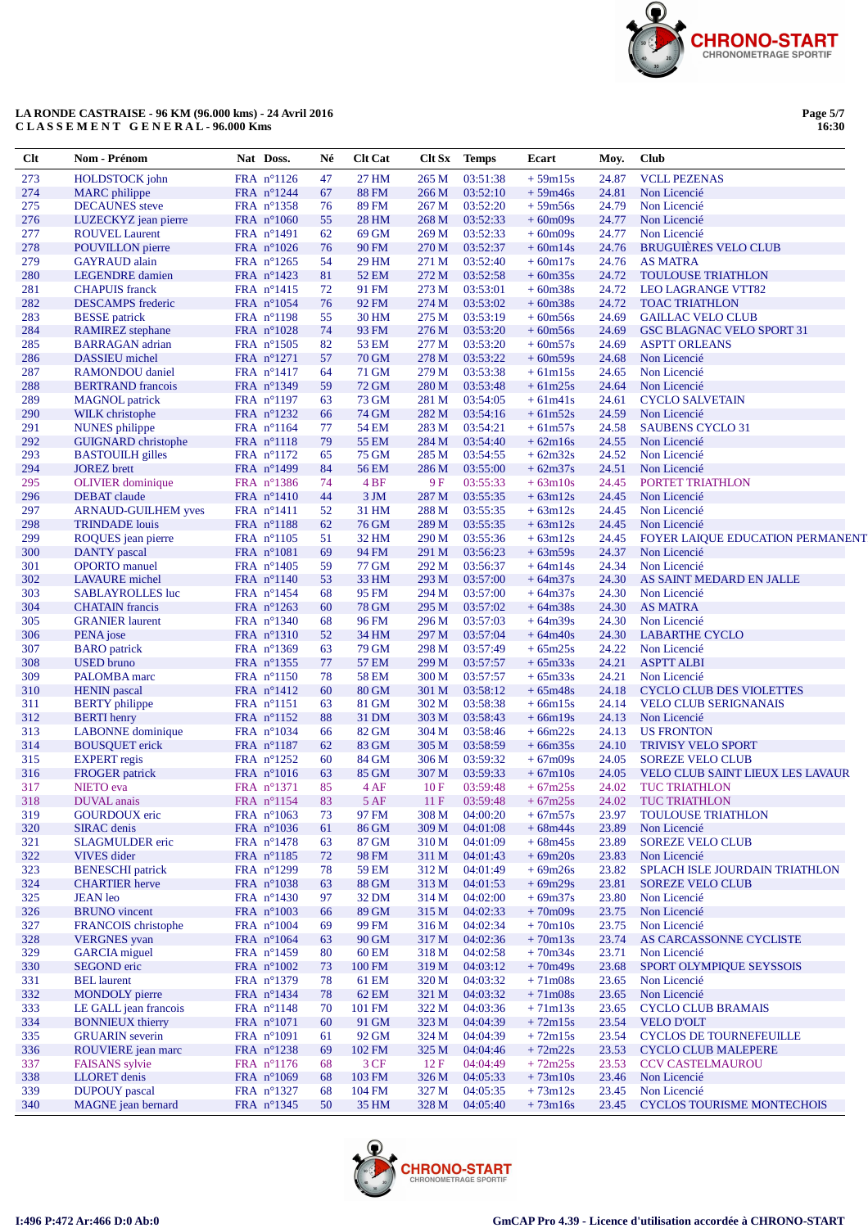

| Page 5/7 |
|----------|
| 16:30    |

| Clt        | Nom - Prénom                                    | Nat Doss.                         | Né       | <b>Clt Cat</b>        | Clt Sx         | <b>Temps</b>         | Ecart                  | Moy.           | <b>Club</b>                                    |
|------------|-------------------------------------------------|-----------------------------------|----------|-----------------------|----------------|----------------------|------------------------|----------------|------------------------------------------------|
| 273        | <b>HOLDSTOCK</b> john                           | FRA nº1126                        | 47       | 27 HM                 | 265 M          | 03:51:38             | $+59m15s$              | 24.87          | <b>VCLL PEZENAS</b>                            |
| 274        | <b>MARC</b> philippe                            | FRA n°1244                        | 67       | <b>88 FM</b>          | 266 M          | 03:52:10             | $+59m46s$              | 24.81          | Non Licencié                                   |
| 275        | <b>DECAUNES</b> steve                           | FRA nº1358                        | 76       | <b>89 FM</b>          | 267 M          | 03:52:20             | $+59m56s$              | 24.79          | Non Licencié                                   |
| 276        | LUZECKYZ jean pierre                            | FRA n°1060                        | 55       | <b>28 HM</b>          | 268 M          | 03:52:33             | $+60m09s$              | 24.77          | Non Licencié                                   |
| 277        | <b>ROUVEL Laurent</b>                           | FRA n°1491                        | 62       | 69 GM                 | 269 M          | 03:52:33             | $+60m09s$              | 24.77          | Non Licencié                                   |
| 278<br>279 | <b>POUVILLON</b> pierre<br><b>GAYRAUD</b> alain | FRA $n^{\circ}1026$<br>FRA n°1265 | 76<br>54 | <b>90 FM</b><br>29 HM | 270 M<br>271 M | 03:52:37<br>03:52:40 | $+60m14s$<br>$+60m17s$ | 24.76<br>24.76 | <b>BRUGUIÈRES VELO CLUB</b><br><b>AS MATRA</b> |
| 280        | <b>LEGENDRE</b> damien                          | FRA $n^{\circ}1423$               | 81       | <b>52 EM</b>          | 272 M          | 03:52:58             | $+60m35s$              | 24.72          | <b>TOULOUSE TRIATHLON</b>                      |
| 281        | <b>CHAPUIS</b> franck                           | $FRA$ n°1415                      | 72       | 91 FM                 | 273 M          | 03:53:01             | $+60m38s$              | 24.72          | <b>LEO LAGRANGE VTT82</b>                      |
| 282        | <b>DESCAMPS</b> frederic                        | FRA n°1054                        | 76       | 92 FM                 | 274 M          | 03:53:02             | $+60m38s$              | 24.72          | <b>TOAC TRIATHLON</b>                          |
| 283        | <b>BESSE</b> patrick                            | FRA n°1198                        | 55       | 30 HM                 | 275 M          | 03:53:19             | $+60m56s$              | 24.69          | <b>GAILLAC VELO CLUB</b>                       |
| 284        | <b>RAMIREZ</b> stephane                         | FRA n°1028                        | 74       | 93 FM                 | 276 M          | 03:53:20             | $+60m56s$              | 24.69          | <b>GSC BLAGNAC VELO SPORT 31</b>               |
| 285        | <b>BARRAGAN</b> adrian                          | FRA n°1505                        | 82       | <b>53 EM</b>          | 277 M          | 03:53:20             | $+60m57s$              | 24.69          | <b>ASPTT ORLEANS</b>                           |
| 286        | DASSIEU michel                                  | FRA n°1271                        | 57       | <b>70 GM</b>          | 278 M          | 03:53:22             | $+60m59s$              | 24.68          | Non Licencié                                   |
| 287        | RAMONDOU daniel                                 | FRA n°1417                        | 64       | 71 GM                 | 279 M          | 03:53:38             | $+61m15s$              | 24.65          | Non Licencié                                   |
| 288        | <b>BERTRAND</b> francois                        | FRA nº1349                        | 59       | <b>72 GM</b>          | 280 M          | 03:53:48             | $+61m25s$              | 24.64          | Non Licencié                                   |
| 289        | <b>MAGNOL</b> patrick                           | FRA n°1197                        | 63       | 73 GM                 | 281 M          | 03:54:05             | $+61m41s$              | 24.61          | <b>CYCLO SALVETAIN</b>                         |
| 290<br>291 | WILK christophe<br><b>NUNES</b> philippe        | FRA n°1232<br>FRA $n^{\circ}1164$ | 66<br>77 | <b>74 GM</b><br>54 EM | 282 M<br>283 M | 03:54:16<br>03:54:21 | $+61m52s$<br>$+61m57s$ | 24.59<br>24.58 | Non Licencié<br><b>SAUBENS CYCLO 31</b>        |
| 292        | <b>GUIGNARD</b> christophe                      | FRA n°1118                        | 79       | <b>55 EM</b>          | 284 M          | 03:54:40             | $+62m16s$              | 24.55          | Non Licencié                                   |
| 293        | <b>BASTOUILH</b> gilles                         | $FRA$ n°1172                      | 65       | <b>75 GM</b>          | 285 M          | 03:54:55             | $+62m32s$              | 24.52          | Non Licencié                                   |
| 294        | <b>JOREZ</b> brett                              | $FRA$ n°1499                      | 84       | 56 EM                 | 286 M          | 03:55:00             | $+62m37s$              | 24.51          | Non Licencié                                   |
| 295        | <b>OLIVIER</b> dominique                        | FRA n°1386                        | 74       | 4 <sub>BF</sub>       | 9F             | 03:55:33             | $+63m10s$              | 24.45          | PORTET TRIATHLON                               |
| 296        | <b>DEBAT</b> claude                             | FRA $n^{\circ}1410$               | 44       | 3JM                   | 287 M          | 03:55:35             | $+63m12s$              | 24.45          | Non Licencié                                   |
| 297        | <b>ARNAUD-GUILHEM yves</b>                      | FRA $n^{\circ}1411$               | 52       | 31 HM                 | 288 M          | 03:55:35             | $+63m12s$              | 24.45          | Non Licencié                                   |
| 298        | <b>TRINDADE</b> louis                           | $FRA$ n°1188                      | 62       | <b>76 GM</b>          | 289 M          | 03:55:35             | $+63m12s$              | 24.45          | Non Licencié                                   |
| 299        | ROQUES jean pierre                              | FRA n°1105                        | 51       | 32 HM                 | 290 M          | 03:55:36             | $+63m12s$              | 24.45          | FOYER LAIQUE EDUCATION PERMANENT               |
| 300        | <b>DANTY</b> pascal                             | $FRA$ n°1081                      | 69       | 94 FM                 | 291 M          | 03:56:23             | $+63m59s$              | 24.37          | Non Licencié                                   |
| 301        | <b>OPORTO</b> manuel                            | FRA n°1405                        | 59       | 77 GM                 | 292 M          | 03:56:37             | $+64m14s$              | 24.34          | Non Licencié                                   |
| 302        | <b>LAVAURE</b> michel                           | FRA n°1140                        | 53       | 33 HM                 | 293 M          | 03:57:00             | $+64m37s$              | 24.30          | AS SAINT MEDARD EN JALLE                       |
| 303        | <b>SABLAYROLLES</b> luc                         | FRA n°1454                        | 68       | 95 FM                 | 294 M          | 03:57:00             | $+64m37s$              | 24.30          | Non Licencié                                   |
| 304<br>305 | <b>CHATAIN</b> francis                          | FRA n°1263                        | 60       | <b>78 GM</b>          | 295 M          | 03:57:02             | $+64m38s$              | 24.30          | <b>AS MATRA</b>                                |
| 306        | <b>GRANIER</b> laurent<br>PENA jose             | FRA n°1340<br>FRA n°1310          | 68<br>52 | 96 FM<br>34 HM        | 296 M<br>297 M | 03:57:03<br>03:57:04 | $+64m39s$<br>$+64m40s$ | 24.30<br>24.30 | Non Licencié<br><b>LABARTHE CYCLO</b>          |
| 307        | <b>BARO</b> patrick                             | FRA $n^{\circ}1369$               | 63       | 79 GM                 | 298 M          | 03:57:49             | $+65m25s$              | 24.22          | Non Licencié                                   |
| 308        | <b>USED</b> bruno                               | FRA n°1355                        | 77       | <b>57 EM</b>          | 299 M          | 03:57:57             | $+65m33s$              | 24.21          | <b>ASPTT ALBI</b>                              |
| 309        | PALOMBA marc                                    | FRA n°1150                        | 78       | <b>58 EM</b>          | 300 M          | 03:57:57             | $+65m33s$              | 24.21          | Non Licencié                                   |
| 310        | <b>HENIN</b> pascal                             | FRA n°1412                        | 60       | <b>80 GM</b>          | 301 M          | 03:58:12             | $+65m48s$              | 24.18          | <b>CYCLO CLUB DES VIOLETTES</b>                |
| 311        | <b>BERTY</b> philippe                           | FRA n°1151                        | 63       | 81 GM                 | 302 M          | 03:58:38             | $+66m15s$              | 24.14          | <b>VELO CLUB SERIGNANAIS</b>                   |
| 312        | <b>BERTI</b> henry                              | $FRA$ n°1152                      | 88       | 31 DM                 | 303 M          | 03:58:43             | $+66m19s$              | 24.13          | Non Licencié                                   |
| 313        | <b>LABONNE</b> dominique                        | FRA n°1034                        | 66       | 82 GM                 | 304 M          | 03:58:46             | $+66m22s$              | 24.13          | <b>US FRONTON</b>                              |
| 314        | <b>BOUSQUET</b> erick                           | FRA n°1187                        | 62       | 83 GM                 | 305 M          | 03:58:59             | $+66m35s$              | 24.10          | <b>TRIVISY VELO SPORT</b>                      |
| 315        | <b>EXPERT</b> regis                             | FRA $n^{\circ}1252$               | 60       | 84 GM                 | 306 M          | 03:59:32             | $+67m09s$              | 24.05          | <b>SOREZE VELO CLUB</b>                        |
| 316<br>317 | <b>FROGER</b> patrick                           | FRA $n^{\circ}1016$               | 63<br>85 | 85 GM<br>4 AF         | 307 M<br>10F   | 03:59:33<br>03:59:48 | $+67m10s$              | 24.05          | <b>VELO CLUB SAINT LIEUX LES LAVAUR</b>        |
| 318        | NIETO eva<br>DUVAL anais                        | FRA n°1371<br>FRA n°1154          | 83       | 5AF                   | 11 F           | 03:59:48             | $+67m25s$<br>$+67m25s$ | 24.02<br>24.02 | <b>TUC TRIATHLON</b><br>TUC TRIATHLON          |
| 319        | <b>GOURDOUX</b> eric                            | FRA n°1063                        | 73       | 97 FM                 | 308 M          | 04:00:20             | $+67m57s$              | 23.97          | TOULOUSE TRIATHLON                             |
| 320        | <b>SIRAC</b> denis                              | FRA n°1036                        | 61       | 86 GM                 | 309 M          | 04:01:08             | $+68m44s$              | 23.89          | Non Licencié                                   |
| 321        | <b>SLAGMULDER</b> eric                          | $FRA$ n°1478                      | 63       | 87 GM                 | 310 M          | 04:01:09             | $+68m45s$              | 23.89          | <b>SOREZE VELO CLUB</b>                        |
| 322        | <b>VIVES</b> dider                              | $FRA$ n°1185                      | 72       | 98 FM                 | 311 M          | 04:01:43             | $+69m20s$              | 23.83          | Non Licencié                                   |
| 323        | <b>BENESCHI</b> patrick                         | FRA n°1299                        | 78       | 59 EM                 | 312 M          | 04:01:49             | $+69m26s$              | 23.82          | SPLACH ISLE JOURDAIN TRIATHLON                 |
| 324        | <b>CHARTIER</b> herve                           | FRA $n^{\circ}1038$               | 63       | 88 GM                 | 313 M          | 04:01:53             | $+69m29s$              | 23.81          | <b>SOREZE VELO CLUB</b>                        |
| 325        | <b>JEAN</b> leo                                 | FRA $n^{\circ}1430$               | 97       | 32 DM                 | 314 M          | 04:02:00             | $+69m37s$              | 23.80          | Non Licencié                                   |
| 326        | <b>BRUNO</b> vincent                            | FRA n°1003                        | 66       | 89 GM                 | 315 M          | 04:02:33             | $+70m09s$              | 23.75          | Non Licencié                                   |
| 327        | FRANCOIS christophe                             | FRA n°1004                        | 69       | 99 FM                 | 316 M          | 04:02:34             | $+70m10s$              | 23.75          | Non Licencié                                   |
| 328<br>329 | <b>VERGNES</b> yvan<br><b>GARCIA</b> miguel     | FRA $n^{\circ}1064$<br>FRA n°1459 | 63       | 90 GM<br><b>60 EM</b> | 317 M<br>318 M | 04:02:36<br>04:02:58 | $+70m13s$<br>$+70m34s$ | 23.74<br>23.71 | AS CARCASSONNE CYCLISTE<br>Non Licencié        |
| 330        | <b>SEGOND</b> eric                              | FRA n°1002                        | 80<br>73 | 100 FM                | 319 M          | 04:03:12             | $+70m49s$              | 23.68          | SPORT OLYMPIQUE SEYSSOIS                       |
| 331        | <b>BEL</b> laurent                              | FRA n°1379                        | 78       | 61 EM                 | 320 M          | 04:03:32             | $+71m08s$              | 23.65          | Non Licencié                                   |
| 332        | <b>MONDOLY</b> pierre                           | FRA n°1434                        | 78       | 62 EM                 | 321 M          | 04:03:32             | $+71m08s$              | 23.65          | Non Licencié                                   |
| 333        | LE GALL jean francois                           | $FRA$ n°1148                      | 70       | 101 FM                | 322 M          | 04:03:36             | $+71m13s$              | 23.65          | <b>CYCLO CLUB BRAMAIS</b>                      |
| 334        | <b>BONNIEUX</b> thierry                         | FRA n°1071                        | 60       | 91 GM                 | 323 M          | 04:04:39             | $+72m15s$              | 23.54          | <b>VELO D'OLT</b>                              |
| 335        | <b>GRUARIN</b> severin                          | $FRA$ n°1091                      | 61       | 92 GM                 | 324 M          | 04:04:39             | $+72m15s$              | 23.54          | <b>CYCLOS DE TOURNEFEUILLE</b>                 |
| 336        | ROUVIERE jean marc                              | FRA n°1238                        | 69       | 102 FM                | 325 M          | 04:04:46             | $+72m22s$              | 23.53          | <b>CYCLO CLUB MALEPERE</b>                     |
| 337        | <b>FAISANS</b> sylvie                           | FRA $n^{\circ}1176$               | 68       | 3CF                   | 12F            | 04:04:49             | $+72m25s$              | 23.53          | <b>CCV CASTELMAUROU</b>                        |
| 338        | <b>LLORET</b> denis                             | FRA n°1069                        | 68       | 103 FM                | 326 M          | 04:05:33             | $+73m10s$              | 23.46          | Non Licencié                                   |
| 339        | <b>DUPOUY</b> pascal                            | FRA nº1327                        | 68       | 104 FM                | 327 M          | 04:05:35             | $+73m12s$              | 23.45          | Non Licencié                                   |
| 340        | MAGNE jean bernard                              | FRA nº1345                        | 50       | 35 HM                 | 328 M          | 04:05:40             | $+73m16s$              | 23.45          | <b>CYCLOS TOURISME MONTECHOIS</b>              |

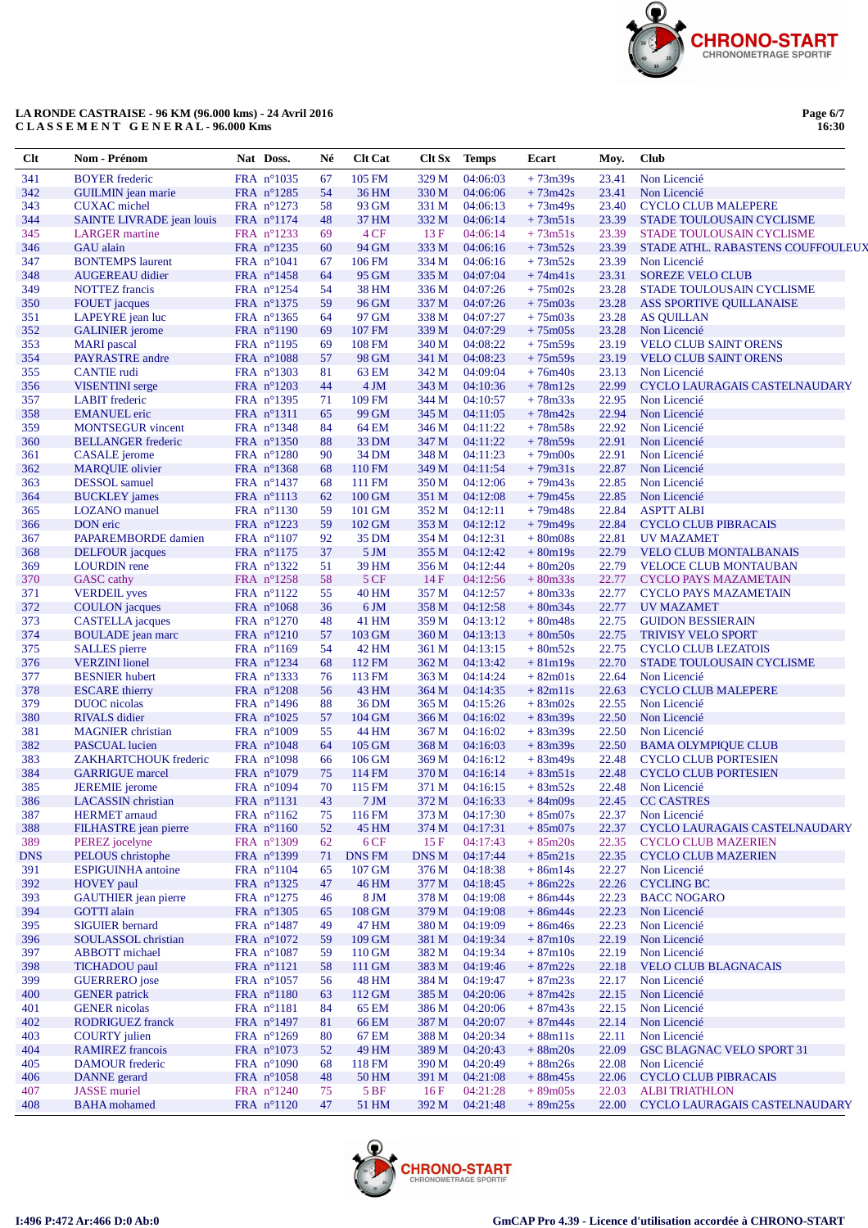

Page 6/7<br>16:30

| Clt        | Nom - Prénom                                      | Nat Doss.                           | Né       | <b>Clt Cat</b>  | Clt Sx         | <b>Temps</b>         | Ecart                     | Moy.           | Club                                                         |
|------------|---------------------------------------------------|-------------------------------------|----------|-----------------|----------------|----------------------|---------------------------|----------------|--------------------------------------------------------------|
| 341        | <b>BOYER</b> frederic                             | FRA n°1035                          | 67       | 105 FM          | 329 M          | 04:06:03             | $+73m39s$                 | 23.41          | Non Licencié                                                 |
| 342        | <b>GUILMIN</b> jean marie                         | FRA n°1285                          | 54       | 36 HM           | 330 M          | 04:06:06             | $+73m42s$                 | 23.41          | Non Licencié                                                 |
| 343        | <b>CUXAC</b> michel                               | FRA $n^{\circ}1273$                 | 58       | 93 GM           | 331 M          | 04:06:13             | $+73m49s$                 | 23.40          | <b>CYCLO CLUB MALEPERE</b>                                   |
| 344        | SAINTE LIVRADE jean louis                         | FRA n°1174                          | 48       | 37 HM           | 332 M          | 04:06:14             | $+73m51s$                 | 23.39          | STADE TOULOUSAIN CYCLISME                                    |
| 345        | <b>LARGER</b> martine                             | FRA nº1233                          | 69       | 4 CF            | 13F            | 04:06:14             | $+73m51s$                 | 23.39          | STADE TOULOUSAIN CYCLISME                                    |
| 346        | <b>GAU</b> alain                                  | FRA n°1235                          | 60       | 94 GM           | 333 M          | 04:06:16             | $+73m52s$                 | 23.39          | STADE ATHL. RABASTENS COUFFOULEU.                            |
| 347<br>348 | <b>BONTEMPS</b> laurent<br><b>AUGEREAU</b> didier | FRA $n^{\circ}1041$<br>$FRA$ n°1458 | 67<br>64 | 106 FM<br>95 GM | 334 M<br>335 M | 04:06:16<br>04:07:04 | $+73m52s$<br>$+74m41s$    | 23.39<br>23.31 | Non Licencié<br><b>SOREZE VELO CLUB</b>                      |
| 349        | <b>NOTTEZ</b> francis                             | FRA $n^{\circ}1254$                 | 54       | 38 HM           | 336 M          | 04:07:26             | $+75 \text{m}02 \text{s}$ | 23.28          | STADE TOULOUSAIN CYCLISME                                    |
| 350        | <b>FOUET</b> jacques                              | FRA n°1375                          | 59       | 96 GM           | 337 M          | 04:07:26             | $+75 \text{m}03 \text{s}$ | 23.28          | <b>ASS SPORTIVE QUILLANAISE</b>                              |
| 351        | LAPEYRE jean luc                                  | FRA nº1365                          | 64       | 97 GM           | 338 M          | 04:07:27             | $+75m03s$                 | 23.28          | <b>AS QUILLAN</b>                                            |
| 352        | <b>GALINIER</b> jerome                            | FRA n°1190                          | 69       | 107 FM          | 339 M          | 04:07:29             | $+75m05s$                 | 23.28          | Non Licencié                                                 |
| 353        | <b>MARI</b> pascal                                | FRA n°1195                          | 69       | <b>108 FM</b>   | 340 M          | 04:08:22             | $+75m59s$                 | 23.19          | <b>VELO CLUB SAINT ORENS</b>                                 |
| 354        | PAYRASTRE andre                                   | FRA n°1088                          | 57       | 98 GM           | 341 M          | 04:08:23             | $+75m59s$                 | 23.19          | <b>VELO CLUB SAINT ORENS</b>                                 |
| 355        | <b>CANTIE</b> rudi                                | $FRA$ n°1303                        | 81       | 63 EM           | 342 M          | 04:09:04             | $+76m40s$                 | 23.13          | Non Licencié                                                 |
| 356        | <b>VISENTINI</b> serge                            | FRA n°1203                          | 44       | 4 JM            | 343 M          | 04:10:36             | $+78m12s$                 | 22.99          | CYCLO LAURAGAIS CASTELNAUDARY                                |
| 357<br>358 | <b>LABIT</b> frederic<br><b>EMANUEL</b> eric      | FRA $n^{\circ}$ 1395<br>FRA n°1311  | 71<br>65 | 109 FM<br>99 GM | 344 M<br>345 M | 04:10:57<br>04:11:05 | $+78m33s$<br>$+78m42s$    | 22.95<br>22.94 | Non Licencié<br>Non Licencié                                 |
| 359        | <b>MONTSEGUR</b> vincent                          | FRA nº1348                          | 84       | 64 EM           | 346 M          | 04:11:22             | $+78m58s$                 | 22.92          | Non Licencié                                                 |
| 360        | <b>BELLANGER</b> frederic                         | FRA n°1350                          | 88       | 33 DM           | 347 M          | 04:11:22             | $+78m59s$                 | 22.91          | Non Licencié                                                 |
| 361        | <b>CASALE</b> jerome                              | FRA n°1280                          | 90       | 34 DM           | 348 M          | 04:11:23             | $+79$ m $00s$             | 22.91          | Non Licencié                                                 |
| 362        | <b>MARQUIE</b> olivier                            | FRA nº1368                          | 68       | 110 FM          | 349 M          | 04:11:54             | $+79m31s$                 | 22.87          | Non Licencié                                                 |
| 363        | <b>DESSOL</b> samuel                              | FRA $n^{\circ}$ 1437                | 68       | 111 FM          | 350 M          | 04:12:06             | $+79m43s$                 | 22.85          | Non Licencié                                                 |
| 364        | <b>BUCKLEY</b> james                              | FRA n°1113                          | 62       | 100 GM          | 351 M          | 04:12:08             | $+79m45s$                 | 22.85          | Non Licencié                                                 |
| 365        | <b>LOZANO</b> manuel                              | FRA n°1130                          | 59       | 101 GM          | 352 M          | 04:12:11             | $+79m48s$                 | 22.84          | <b>ASPTT ALBI</b>                                            |
| 366        | <b>DON</b> eric                                   | FRA n°1223                          | 59       | 102 GM          | 353 M          | 04:12:12             | $+79m49s$                 | 22.84          | <b>CYCLO CLUB PIBRACAIS</b>                                  |
| 367        | PAPAREMBORDE damien                               | FRA n°1107                          | 92       | 35 DM           | 354 M          | 04:12:31             | $+80m08s$                 | 22.81          | <b>UV MAZAMET</b>                                            |
| 368        | <b>DELFOUR</b> jacques                            | FRA n°1175                          | 37       | 5 <sub>JM</sub> | 355 M          | 04:12:42             | $+80m19s$                 | 22.79          | <b>VELO CLUB MONTALBANAIS</b>                                |
| 369<br>370 | <b>LOURDIN</b> rene                               | FRA nº1322                          | 51<br>58 | 39 HM<br>5 CF   | 356 M<br>14F   | 04:12:44<br>04:12:56 | $+80m20s$<br>$+80m33s$    | 22.79<br>22.77 | <b>VELOCE CLUB MONTAUBAN</b>                                 |
| 371        | <b>GASC</b> cathy<br><b>VERDEIL</b> yves          | FRA n°1258<br>FRA nº1122            | 55       | <b>40 HM</b>    | 357 M          | 04:12:57             | $+80m33s$                 | 22.77          | <b>CYCLO PAYS MAZAMETAIN</b><br><b>CYCLO PAYS MAZAMETAIN</b> |
| 372        | <b>COULON</b> jacques                             | FRA $n^{\circ}1068$                 | 36       | 6 JM            | 358 M          | 04:12:58             | $+80m34s$                 | 22.77          | <b>UV MAZAMET</b>                                            |
| 373        | <b>CASTELLA</b> jacques                           | FRA $n^{\circ}1270$                 | 48       | 41 HM           | 359 M          | 04:13:12             | $+80m48s$                 | 22.75          | <b>GUIDON BESSIERAIN</b>                                     |
| 374        | <b>BOULADE</b> jean marc                          | FRA n°1210                          | 57       | 103 GM          | 360 M          | 04:13:13             | $+80m50s$                 | 22.75          | <b>TRIVISY VELO SPORT</b>                                    |
| 375        | <b>SALLES</b> pierre                              | FRA n°1169                          | 54       | 42 HM           | 361 M          | 04:13:15             | $+80m52s$                 | 22.75          | <b>CYCLO CLUB LEZATOIS</b>                                   |
| 376        | <b>VERZINI</b> lionel                             | FRA $n^{\circ}1234$                 | 68       | 112 FM          | 362 M          | 04:13:42             | $+81m19s$                 | 22.70          | STADE TOULOUSAIN CYCLISME                                    |
| 377        | <b>BESNIER</b> hubert                             | FRA nº1333                          | 76       | 113 FM          | 363 M          | 04:14:24             | $+82m01s$                 | 22.64          | Non Licencié                                                 |
| 378        | <b>ESCARE</b> thierry                             | FRA n°1208                          | 56       | 43 HM           | 364 M          | 04:14:35             | $+82m11s$                 | 22.63          | <b>CYCLO CLUB MALEPERE</b>                                   |
| 379<br>380 | DUOC nicolas                                      | FRA $n^{\circ}1496$<br>FRA n°1025   | 88<br>57 | 36 DM<br>104 GM | 365 M          | 04:15:26<br>04:16:02 | $+83m02s$                 | 22.55<br>22.50 | Non Licencié<br>Non Licencié                                 |
| 381        | <b>RIVALS</b> didier<br><b>MAGNIER</b> christian  | FRA n°1009                          | 55       | 44 HM           | 366 M<br>367 M | 04:16:02             | $+83m39s$<br>$+83m39s$    | 22.50          | Non Licencié                                                 |
| 382        | <b>PASCUAL</b> lucien                             | FRA $n^{\circ}1048$                 | 64       | 105 GM          | 368 M          | 04:16:03             | $+83m39s$                 | 22.50          | <b>BAMA OLYMPIQUE CLUB</b>                                   |
| 383        | ZAKHARTCHOUK frederic                             | FRA n°1098                          | 66       | 106 GM          | 369 M          | 04:16:12             | $+83m49s$                 | 22.48          | <b>CYCLO CLUB PORTESIEN</b>                                  |
| 384        | <b>GARRIGUE</b> marcel                            | FRA n°1079                          | 75       | 114 FM          | 370 M          | 04:16:14             | $+83m51s$                 | 22.48          | <b>CYCLO CLUB PORTESIEN</b>                                  |
| 385        | <b>JEREMIE</b> jerome                             | $FRA$ n°1094                        | 70       | 115 FM          | 371 M          | 04:16:15             | $+83m52s$                 | 22.48          | Non Licencié                                                 |
| 386        | LACASSIN christian                                | FRA nº1131                          | 43       | $7 \text{ JM}$  | 372 M          | 04:16:33             | $+84m09s$                 | 22.45          | <b>CC CASTRES</b>                                            |
| 387        | <b>HERMET</b> arnaud                              | FRA nº1162                          | 75       | 116 FM          | 373 M          | 04:17:30             | $+85m07s$                 | 22.37          | Non Licencié                                                 |
| 388        | <b>FILHASTRE</b> jean pierre                      | FRA n°1160                          | 52       | 45 HM           | 374 M          | 04:17:31             | $+85m07s$                 | 22.37          | CYCLO LAURAGAIS CASTELNAUDARY                                |
| 389        | PEREZ jocelyne                                    | FRA n°1309                          | 62       | 6CF             | 15F            | 04:17:43             | $+85m20s$                 | 22.35          | <b>CYCLO CLUB MAZERIEN</b>                                   |
| <b>DNS</b> | PELOUS christophe                                 | FRA nº1399                          | 71       | <b>DNS FM</b>   | DNS M          | 04:17:44             | $+85m21s$                 | 22.35          | <b>CYCLO CLUB MAZERIEN</b>                                   |
| 391<br>392 | <b>ESPIGUINHA</b> antoine<br><b>HOVEY</b> paul    | $FRA$ n°1104<br>FRA nº1325          | 65<br>47 | 107 GM<br>46 HM | 376 M<br>377 M | 04:18:38<br>04:18:45 | $+86m14s$<br>$+86m22s$    | 22.27<br>22.26 | Non Licencié<br><b>CYCLING BC</b>                            |
| 393        | <b>GAUTHIER</b> jean pierre                       | FRA n°1275                          | 46       | 8 JM            | 378 M          | 04:19:08             | $+86m44s$                 | 22.23          | <b>BACC NOGARO</b>                                           |
| 394        | <b>GOTTI</b> alain                                | FRA n°1305                          | 65       | 108 GM          | 379 M          | 04:19:08             | $+86m44s$                 | 22.23          | Non Licencié                                                 |
| 395        | <b>SIGUIER</b> bernard                            | FRA n°1487                          | 49       | 47 HM           | 380 M          | 04:19:09             | $+86m46s$                 | 22.23          | Non Licencié                                                 |
| 396        | SOULASSOL christian                               | FRA n°1072                          | 59       | 109 GM          | 381 M          | 04:19:34             | $+87m10s$                 | 22.19          | Non Licencié                                                 |
| 397        | <b>ABBOTT</b> michael                             | $FRA$ n°1087                        | 59       | 110 GM          | 382 M          | 04:19:34             | $+87m10s$                 | 22.19          | Non Licencié                                                 |
| 398        | <b>TICHADOU</b> paul                              | FRA n°1121                          | 58       | 111 GM          | 383 M          | 04:19:46             | $+87m22s$                 | 22.18          | <b>VELO CLUB BLAGNACAIS</b>                                  |
| 399        | <b>GUERRERO</b> jose                              | FRA n°1057                          | 56       | 48 HM           | 384 M          | 04:19:47             | $+87m23s$                 | 22.17          | Non Licencié                                                 |
| 400        | <b>GENER</b> patrick                              | FRA n°1180                          | 63       | 112 GM          | 385 M          | 04:20:06             | $+87m42s$                 | 22.15          | Non Licencié                                                 |
| 401        | <b>GENER</b> nicolas                              | $FRA$ n°1181                        | 84       | 65 EM           | 386 M          | 04:20:06             | $+87m43s$                 | 22.15          | Non Licencié                                                 |
| 402        | <b>RODRIGUEZ</b> franck                           | FRA n°1497                          | 81       | <b>66 EM</b>    | 387 M          | 04:20:07             | $+87m44s$                 | 22.14          | Non Licencié<br>Non Licencié                                 |
| 403<br>404 | <b>COURTY</b> julien<br><b>RAMIREZ</b> francois   | FRA n°1269<br>FRA n°1073            | 80<br>52 | 67 EM<br>49 HM  | 388 M<br>389 M | 04:20:34<br>04:20:43 | $+88m11s$<br>$+88m20s$    | 22.11<br>22.09 | <b>GSC BLAGNAC VELO SPORT 31</b>                             |
| 405        | <b>DAMOUR</b> frederic                            | FRA n°1090                          | 68       | 118 FM          | 390 M          | 04:20:49             | $+88m26s$                 | 22.08          | Non Licencié                                                 |
| 406        | <b>DANNE</b> gerard                               | FRA n°1058                          | 48       | 50 HM           | 391 M          | 04:21:08             | $+88m45s$                 | 22.06          | <b>CYCLO CLUB PIBRACAIS</b>                                  |
| 407        | <b>JASSE</b> muriel                               | FRA n°1240                          | 75       | 5 BF            | 16F            | 04:21:28             | $+89m05s$                 | 22.03          | <b>ALBI TRIATHLON</b>                                        |
| 408        | <b>BAHA</b> mohamed                               | FRA n°1120                          | 47       | 51 HM           | 392 M          | 04:21:48             | $+89m25s$                 | 22.00          | CYCLO LAURAGAIS CASTELNAUDARY                                |